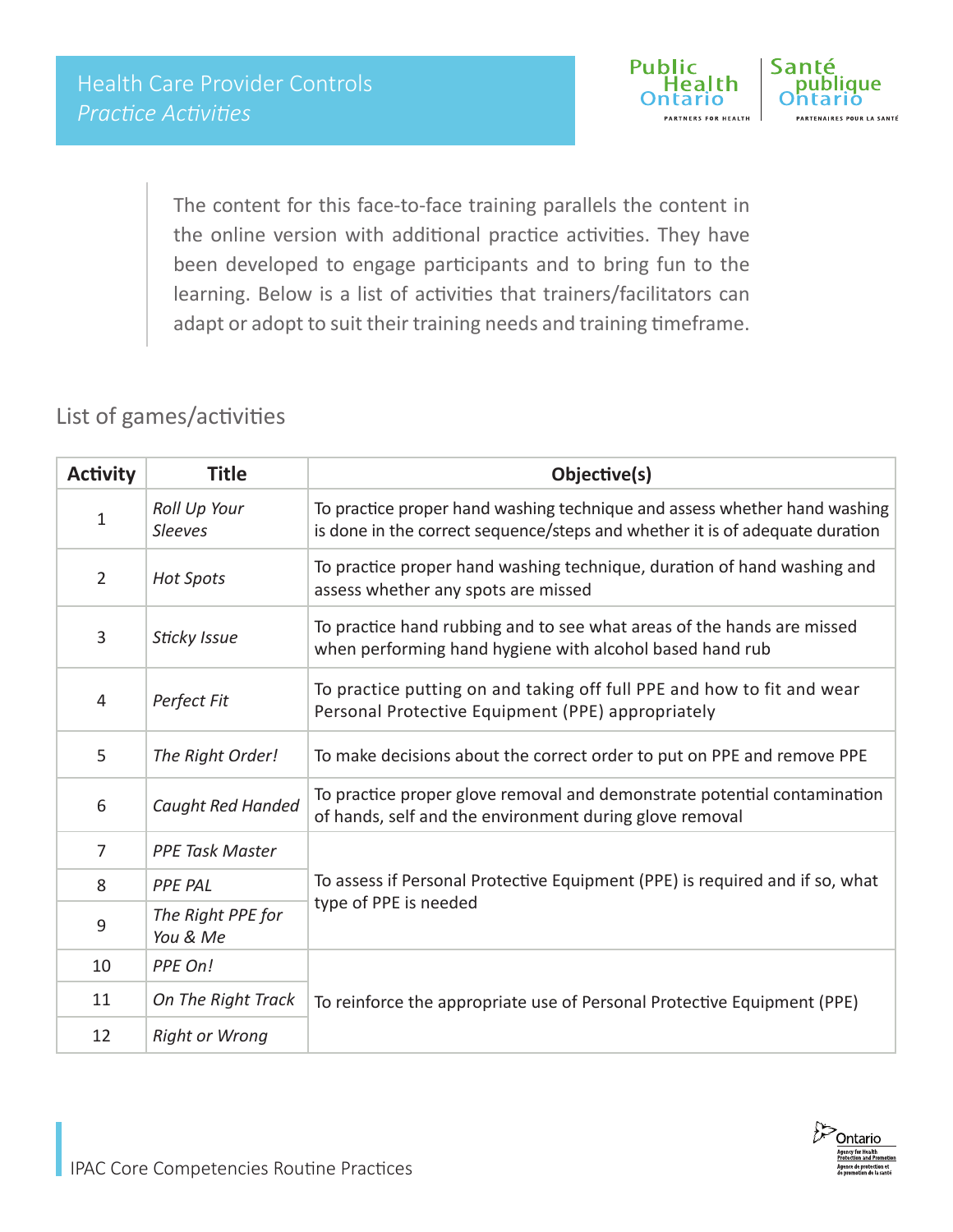

The content for this face-to-face training parallels the content in the online version with additional practice activities. They have been developed to engage participants and to bring fun to the learning. Below is a list of activities that trainers/facilitators can adapt or adopt to suit their training needs and training timeframe.

### List of games/activities

| <b>Activity</b> | <b>Title</b>                   | Objective(s)                                                                                                                                              |  |  |
|-----------------|--------------------------------|-----------------------------------------------------------------------------------------------------------------------------------------------------------|--|--|
| $\mathbf{1}$    | Roll Up Your<br><b>Sleeves</b> | To practice proper hand washing technique and assess whether hand washing<br>is done in the correct sequence/steps and whether it is of adequate duration |  |  |
| $\overline{2}$  | <b>Hot Spots</b>               | To practice proper hand washing technique, duration of hand washing and<br>assess whether any spots are missed                                            |  |  |
| 3               | Sticky Issue                   | To practice hand rubbing and to see what areas of the hands are missed<br>when performing hand hygiene with alcohol based hand rub                        |  |  |
| 4               | Perfect Fit                    | To practice putting on and taking off full PPE and how to fit and wear<br>Personal Protective Equipment (PPE) appropriately                               |  |  |
| 5               | The Right Order!               | To make decisions about the correct order to put on PPE and remove PPE                                                                                    |  |  |
| 6               | Caught Red Handed              | To practice proper glove removal and demonstrate potential contamination<br>of hands, self and the environment during glove removal                       |  |  |
| $\overline{7}$  | <b>PPE Task Master</b>         |                                                                                                                                                           |  |  |
| 8               | <b>PPE PAL</b>                 | To assess if Personal Protective Equipment (PPE) is required and if so, what                                                                              |  |  |
| 9               | The Right PPE for<br>You & Me  | type of PPE is needed                                                                                                                                     |  |  |
| 10              | PPE On!                        |                                                                                                                                                           |  |  |
| 11              | On The Right Track             | To reinforce the appropriate use of Personal Protective Equipment (PPE)                                                                                   |  |  |
| 12              | <b>Right or Wrong</b>          |                                                                                                                                                           |  |  |

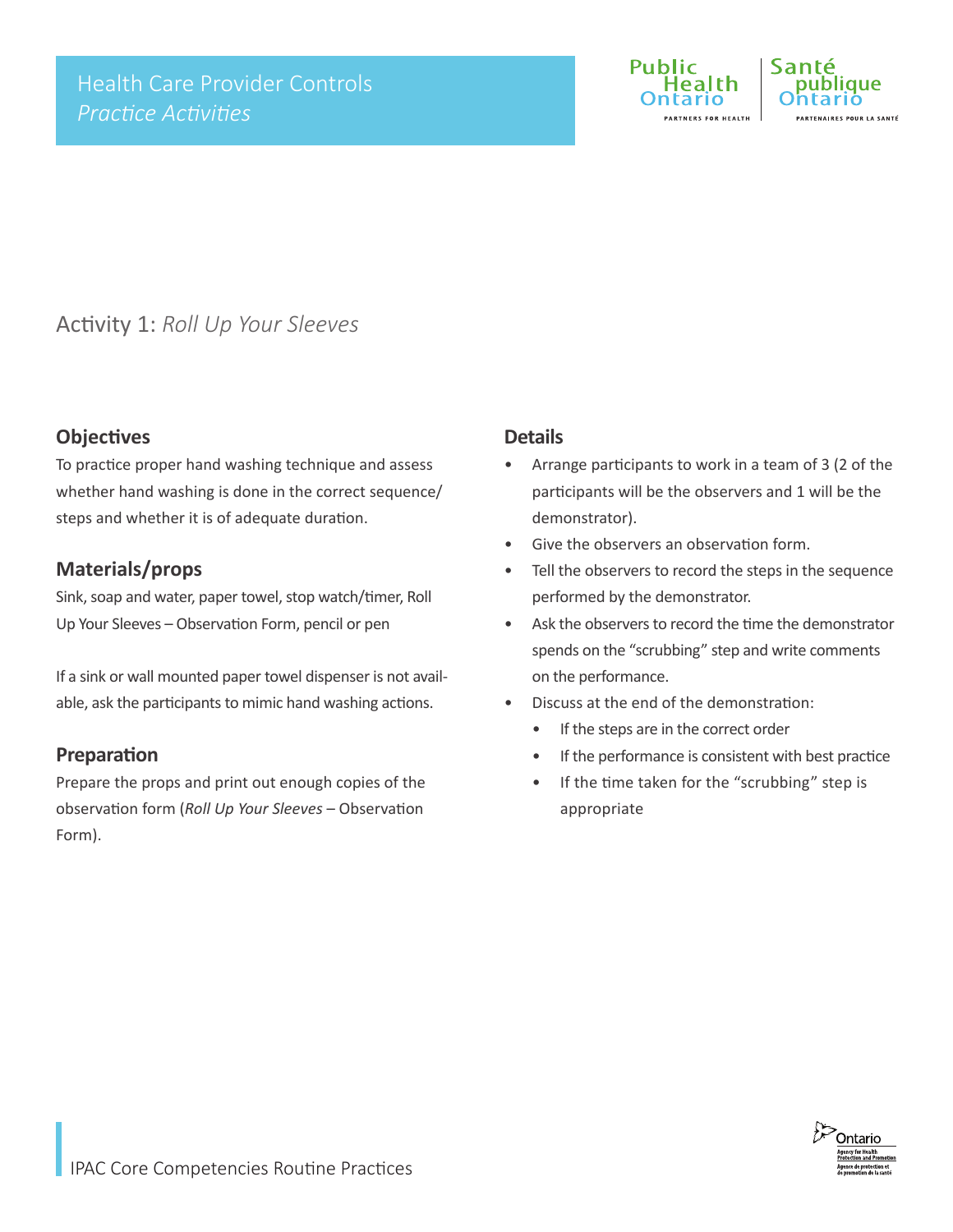

### Activity 1: *Roll Up Your Sleeves*

#### **Objectives**

To practice proper hand washing technique and assess whether hand washing is done in the correct sequence/ steps and whether it is of adequate duration.

#### **Materials/props**

Sink, soap and water, paper towel, stop watch/timer, Roll Up Your Sleeves – Observation Form, pencil or pen

If a sink or wall mounted paper towel dispenser is not available, ask the participants to mimic hand washing actions.

#### **Preparation**

Prepare the props and print out enough copies of the observation form (*Roll Up Your Sleeves* – Observation Form).

#### **Details**

- Arrange participants to work in a team of 3 (2 of the participants will be the observers and 1 will be the demonstrator).
- Give the observers an observation form.
- Tell the observers to record the steps in the sequence performed by the demonstrator.
- Ask the observers to record the time the demonstrator spends on the "scrubbing" step and write comments on the performance.
- Discuss at the end of the demonstration:
	- If the steps are in the correct order
	- If the performance is consistent with best practice
	- If the time taken for the "scrubbing" step is appropriate

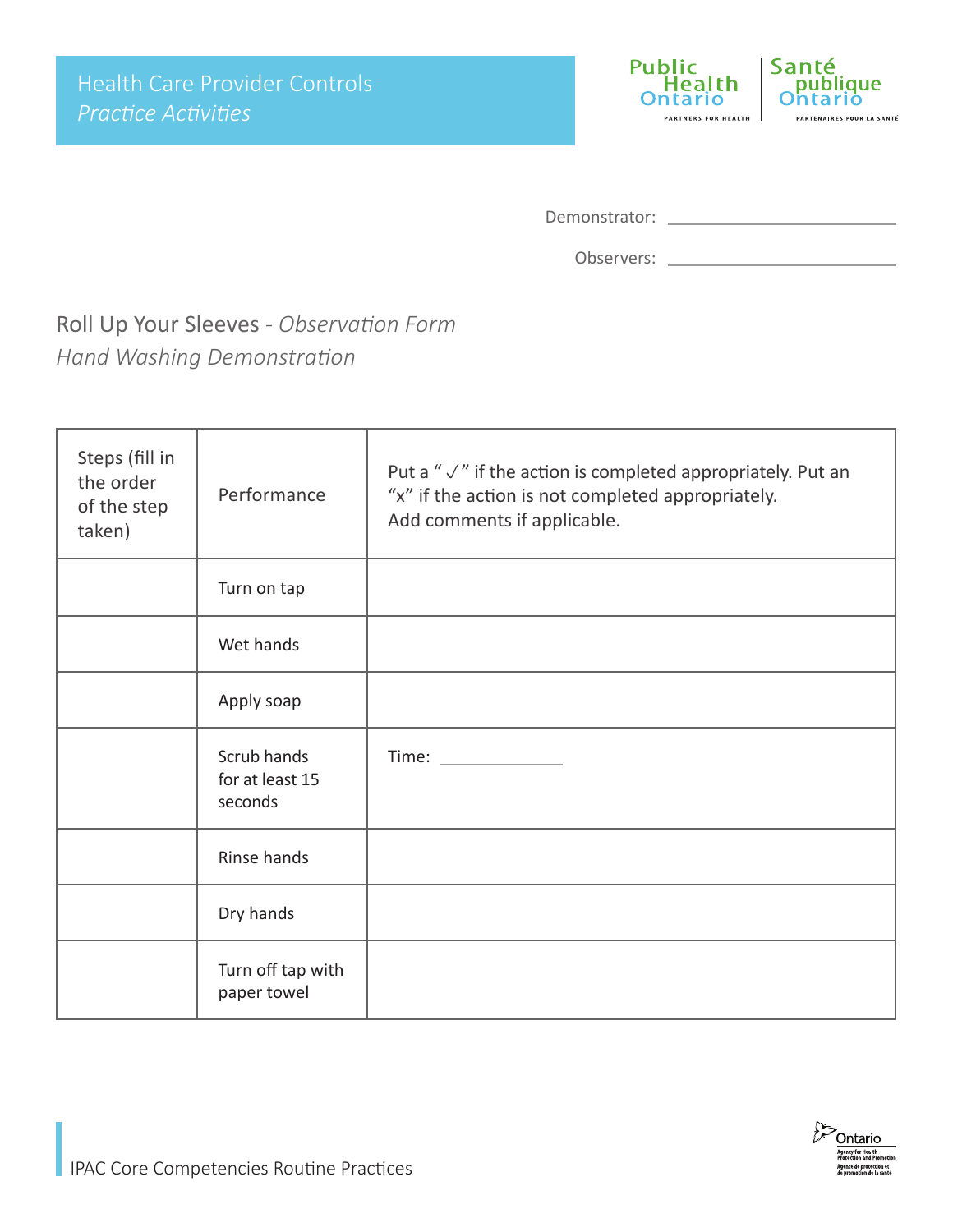

| Demonstrator: |  |
|---------------|--|

Observers: \_

Roll Up Your Sleeves *- Observation Form Hand Washing Demonstration*

| Steps (fill in<br>the order<br>of the step<br>taken) | Performance                               | Put a " $\sqrt{ }$ " if the action is completed appropriately. Put an<br>"x" if the action is not completed appropriately.<br>Add comments if applicable. |
|------------------------------------------------------|-------------------------------------------|-----------------------------------------------------------------------------------------------------------------------------------------------------------|
|                                                      | Turn on tap                               |                                                                                                                                                           |
|                                                      | Wet hands                                 |                                                                                                                                                           |
|                                                      | Apply soap                                |                                                                                                                                                           |
|                                                      | Scrub hands<br>for at least 15<br>seconds | Time: Time:                                                                                                                                               |
|                                                      | Rinse hands                               |                                                                                                                                                           |
|                                                      | Dry hands                                 |                                                                                                                                                           |
|                                                      | Turn off tap with<br>paper towel          |                                                                                                                                                           |

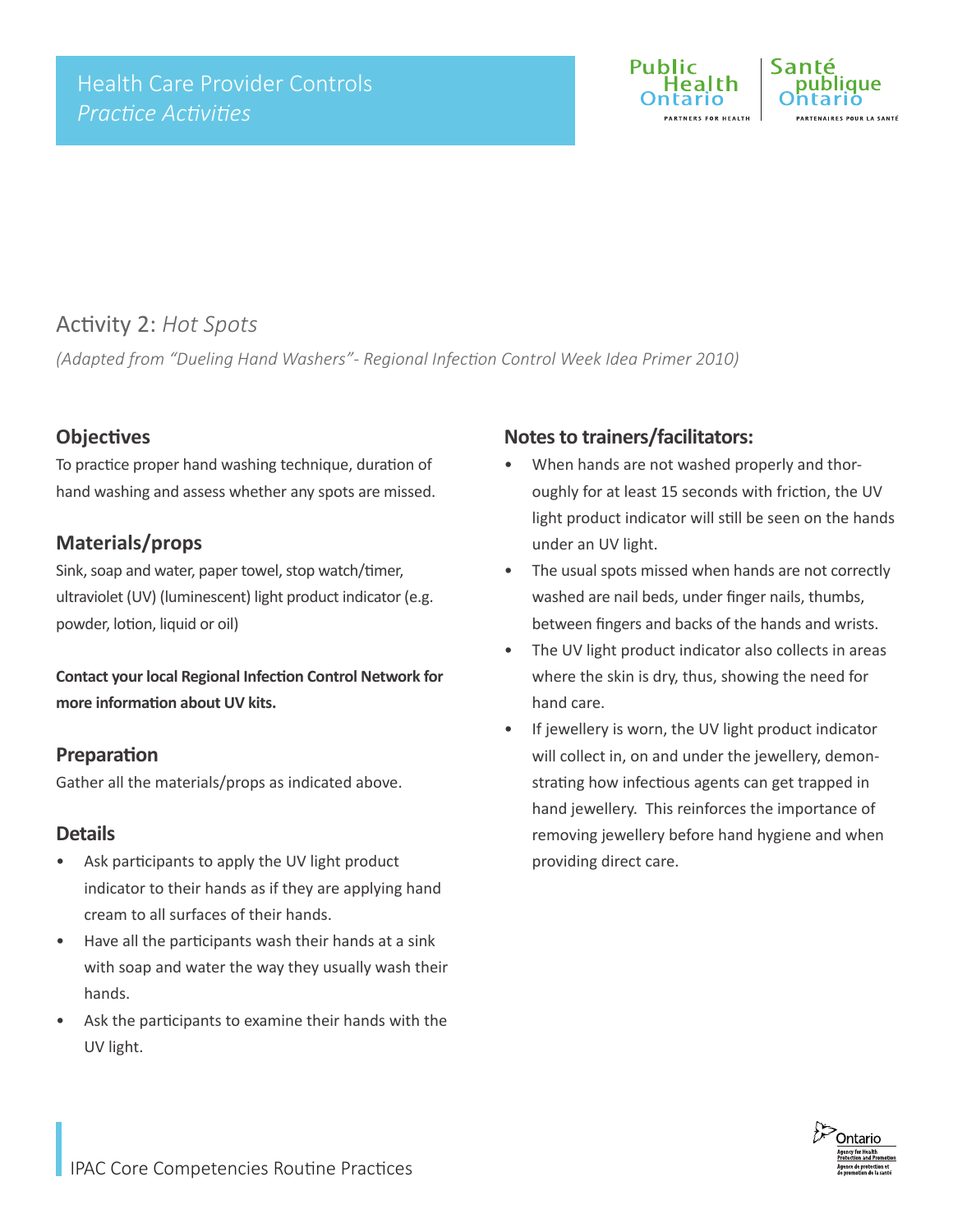

### Activity 2: *Hot Spots*

*(Adapted from "Dueling Hand Washers"- Regional Infection Control Week Idea Primer 2010)*

#### **Objectives**

To practice proper hand washing technique, duration of hand washing and assess whether any spots are missed.

#### **Materials/props**

Sink, soap and water, paper towel, stop watch/timer, ultraviolet (UV) (luminescent) light product indicator (e.g. powder, lotion, liquid or oil)

**Contact your local Regional Infection Control Network for more information about UV kits.**

#### **Preparation**

Gather all the materials/props as indicated above.

#### **Details**

- Ask participants to apply the UV light product indicator to their hands as if they are applying hand cream to all surfaces of their hands.
- Have all the participants wash their hands at a sink with soap and water the way they usually wash their hands.
- Ask the participants to examine their hands with the UV light.

#### **Notes to trainers/facilitators:**

- When hands are not washed properly and thoroughly for at least 15 seconds with friction, the UV light product indicator will still be seen on the hands under an UV light.
- The usual spots missed when hands are not correctly washed are nail beds, under finger nails, thumbs, between fingers and backs of the hands and wrists.
- The UV light product indicator also collects in areas where the skin is dry, thus, showing the need for hand care.
- If jewellery is worn, the UV light product indicator will collect in, on and under the jewellery, demonstrating how infectious agents can get trapped in hand jewellery. This reinforces the importance of removing jewellery before hand hygiene and when providing direct care.

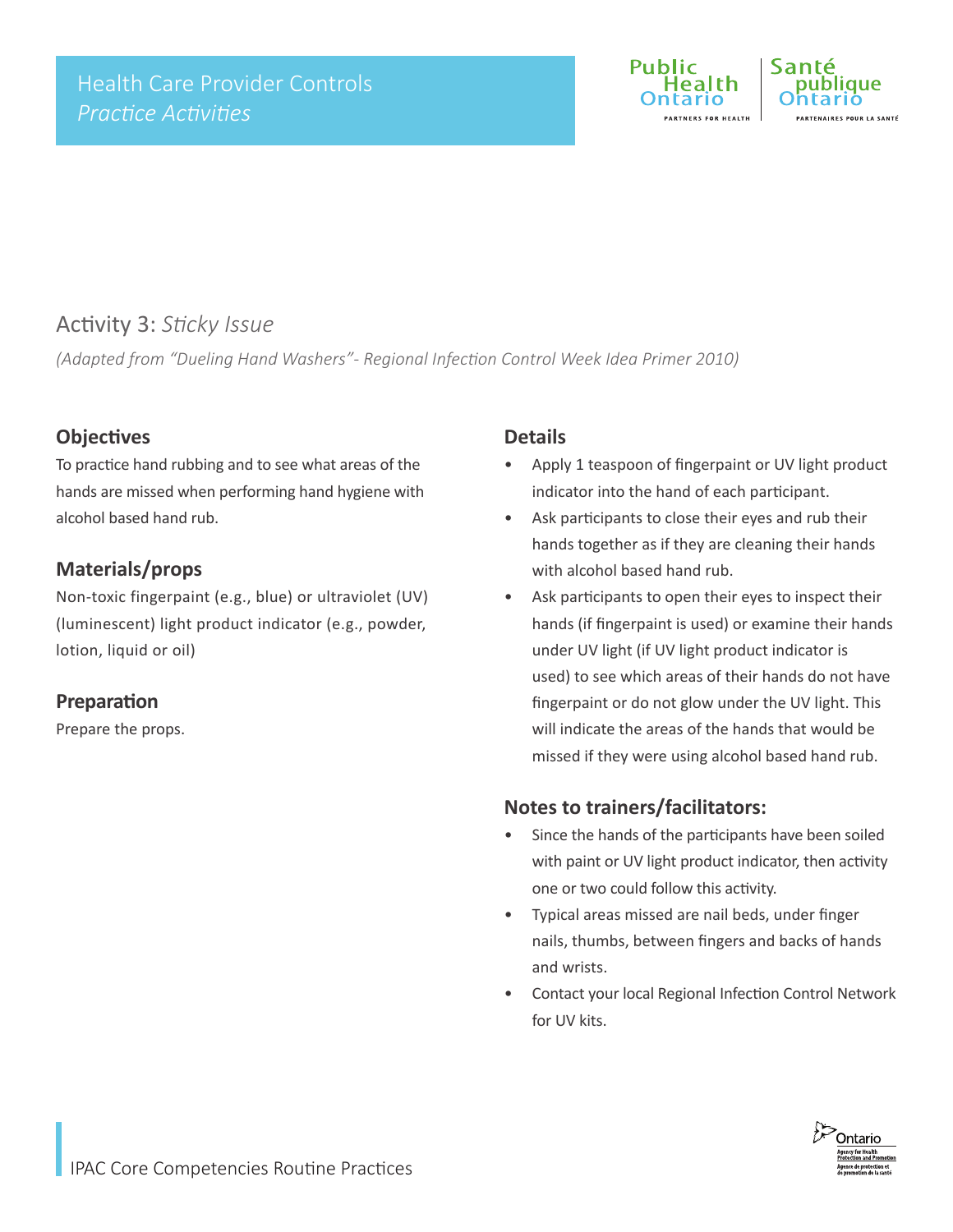

### Activity 3: *Sticky Issue*

*(Adapted from "Dueling Hand Washers"- Regional Infection Control Week Idea Primer 2010)*

#### **Objectives**

To practice hand rubbing and to see what areas of the hands are missed when performing hand hygiene with alcohol based hand rub.

#### **Materials/props**

Non-toxic fingerpaint (e.g., blue) or ultraviolet (UV) (luminescent) light product indicator (e.g., powder, lotion, liquid or oil)

#### **Preparation**

Prepare the props.

#### **Details**

- Apply 1 teaspoon of fingerpaint or UV light product indicator into the hand of each participant.
- Ask participants to close their eyes and rub their hands together as if they are cleaning their hands with alcohol based hand rub.
- Ask participants to open their eyes to inspect their hands (if fingerpaint is used) or examine their hands under UV light (if UV light product indicator is used) to see which areas of their hands do not have fingerpaint or do not glow under the UV light. This will indicate the areas of the hands that would be missed if they were using alcohol based hand rub.

#### **Notes to trainers/facilitators:**

- Since the hands of the participants have been soiled with paint or UV light product indicator, then activity one or two could follow this activity.
- Typical areas missed are nail beds, under finger nails, thumbs, between fingers and backs of hands and wrists.
- Contact your local Regional Infection Control Network for UV kits.

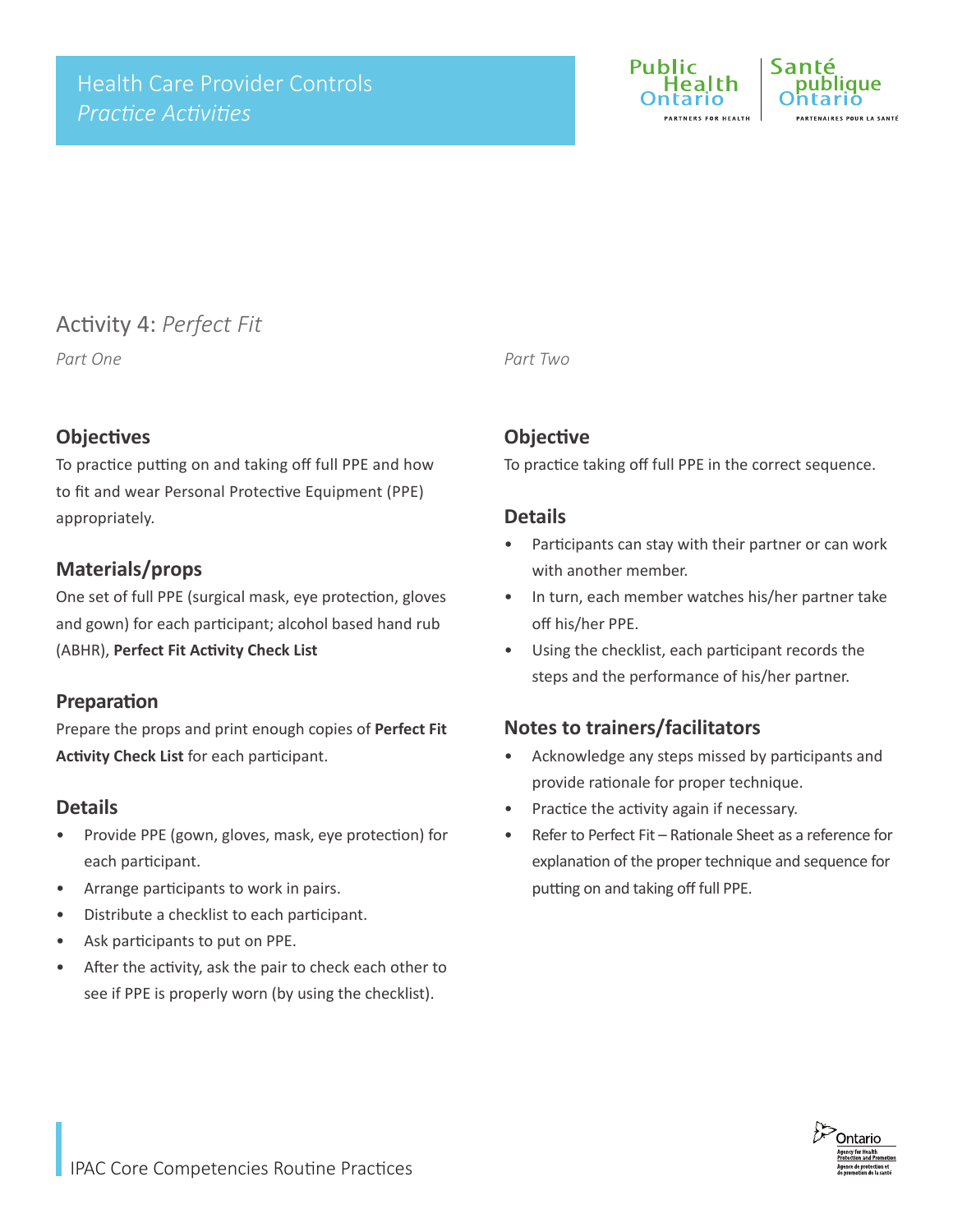

### Activity 4: *Perfect Fit*

#### **Objectives**

To practice putting on and taking off full PPE and how to fit and wear Personal Protective Equipment (PPE) appropriately.

#### **Materials/props**

One set of full PPE (surgical mask, eye protection, gloves and gown) for each participant; alcohol based hand rub (ABHR), **Perfect Fit Activity Check List**

#### **Preparation**

Prepare the props and print enough copies of **Perfect Fit Activity Check List** for each participant.

#### **Details**

- Provide PPE (gown, gloves, mask, eye protection) for each participant.
- Arrange participants to work in pairs.
- Distribute a checklist to each participant.
- Ask participants to put on PPE.
- After the activity, ask the pair to check each other to see if PPE is properly worn (by using the checklist).

*Part One Part Two*

#### **Objective**

To practice taking off full PPE in the correct sequence.

#### **Details**

- Participants can stay with their partner or can work with another member.
- In turn, each member watches his/her partner take off his/her PPE.
- Using the checklist, each participant records the steps and the performance of his/her partner.

#### **Notes to trainers/facilitators**

- Acknowledge any steps missed by participants and provide rationale for proper technique.
- Practice the activity again if necessary.
- Refer to Perfect Fit Rationale Sheet as a reference for explanation of the proper technique and sequence for putting on and taking off full PPE.

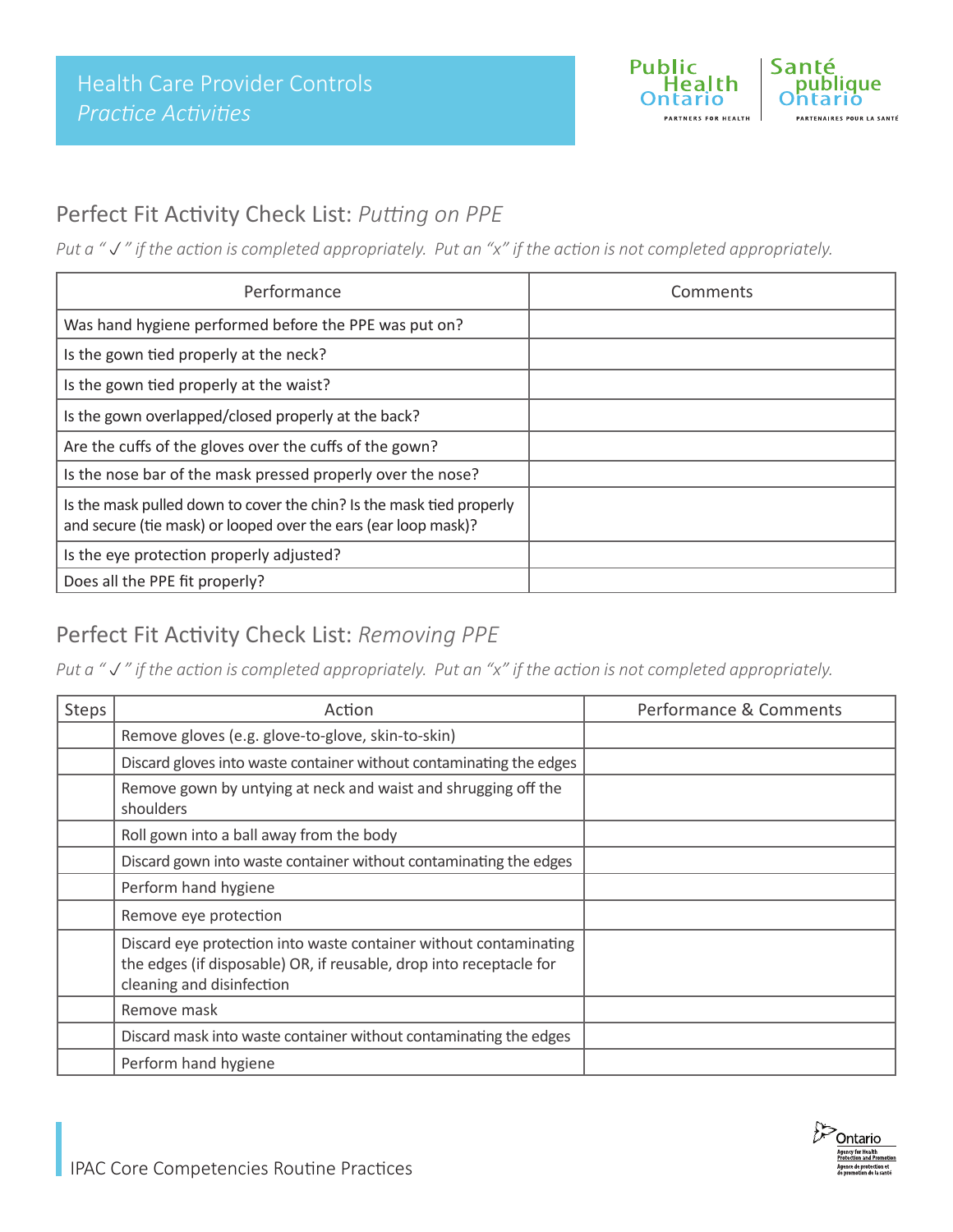

### Perfect Fit Activity Check List: *Putting on PPE*

*Put a "" if the action is completed appropriately. Put an "x" if the action is not completed appropriately.*

| Performance                                                                                                                            | Comments |
|----------------------------------------------------------------------------------------------------------------------------------------|----------|
| Was hand hygiene performed before the PPE was put on?                                                                                  |          |
| Is the gown tied properly at the neck?                                                                                                 |          |
| Is the gown tied properly at the waist?                                                                                                |          |
| Is the gown overlapped/closed properly at the back?                                                                                    |          |
| Are the cuffs of the gloves over the cuffs of the gown?                                                                                |          |
| Is the nose bar of the mask pressed properly over the nose?                                                                            |          |
| Is the mask pulled down to cover the chin? Is the mask tied properly<br>and secure (tie mask) or looped over the ears (ear loop mask)? |          |
| Is the eye protection properly adjusted?                                                                                               |          |
| Does all the PPE fit properly?                                                                                                         |          |

### Perfect Fit Activity Check List: *Removing PPE*

*Put a "" if the action is completed appropriately. Put an "x" if the action is not completed appropriately.*

| Steps | Action                                                                                                                                                                | Performance & Comments |
|-------|-----------------------------------------------------------------------------------------------------------------------------------------------------------------------|------------------------|
|       | Remove gloves (e.g. glove-to-glove, skin-to-skin)                                                                                                                     |                        |
|       | Discard gloves into waste container without contaminating the edges                                                                                                   |                        |
|       | Remove gown by untying at neck and waist and shrugging off the<br>shoulders                                                                                           |                        |
|       | Roll gown into a ball away from the body                                                                                                                              |                        |
|       | Discard gown into waste container without contaminating the edges                                                                                                     |                        |
|       | Perform hand hygiene                                                                                                                                                  |                        |
|       | Remove eye protection                                                                                                                                                 |                        |
|       | Discard eye protection into waste container without contaminating<br>the edges (if disposable) OR, if reusable, drop into receptacle for<br>cleaning and disinfection |                        |
|       | Remove mask                                                                                                                                                           |                        |
|       | Discard mask into waste container without contaminating the edges                                                                                                     |                        |
|       | Perform hand hygiene                                                                                                                                                  |                        |

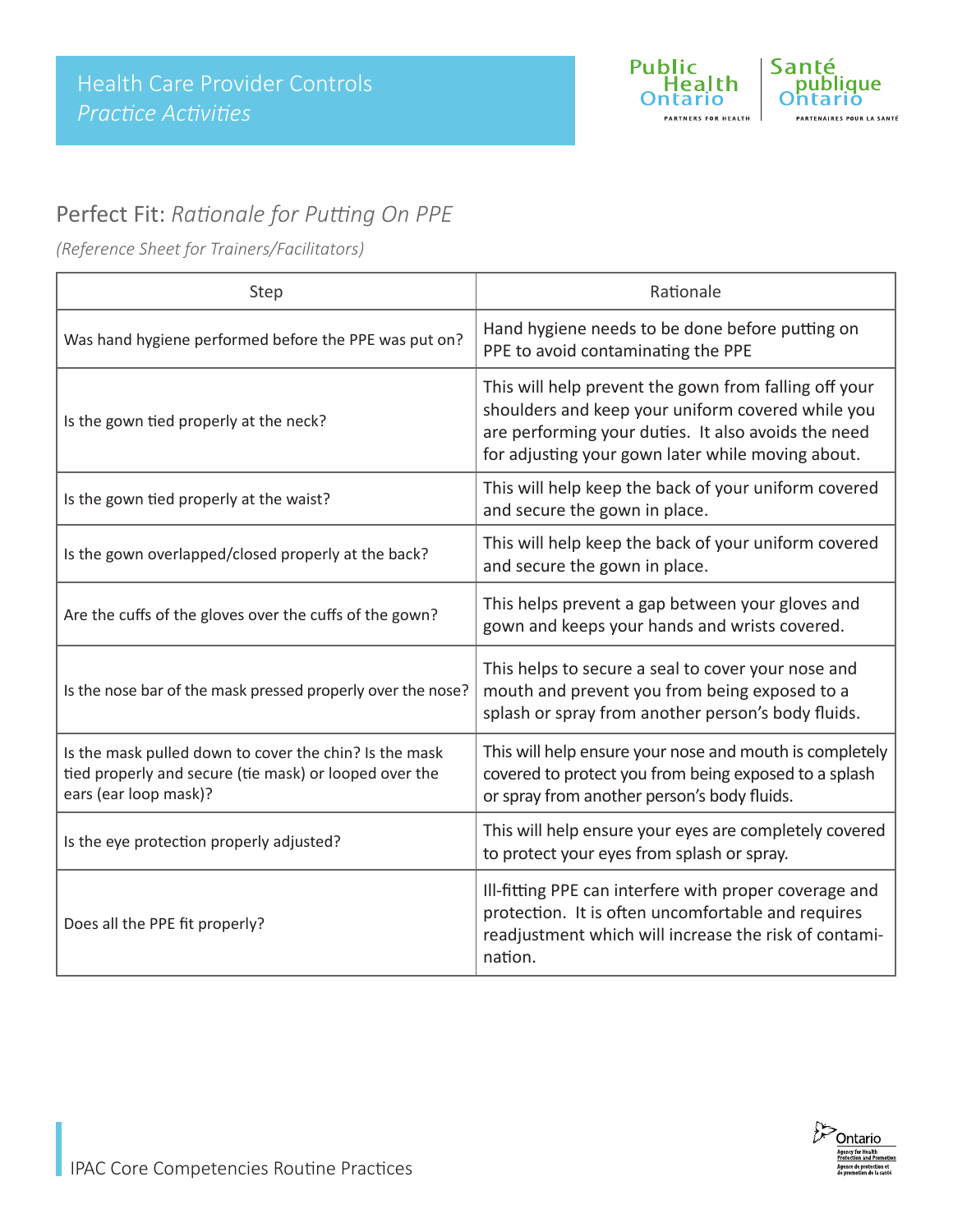

### Perfect Fit: *Rationale for Putting On PPE*

*(Reference Sheet for Trainers/Facilitators)*

| Step                                                                                                                                      | Rationale                                                                                                                                                                                                              |  |
|-------------------------------------------------------------------------------------------------------------------------------------------|------------------------------------------------------------------------------------------------------------------------------------------------------------------------------------------------------------------------|--|
| Was hand hygiene performed before the PPE was put on?                                                                                     | Hand hygiene needs to be done before putting on<br>PPE to avoid contaminating the PPE                                                                                                                                  |  |
| Is the gown tied properly at the neck?                                                                                                    | This will help prevent the gown from falling off your<br>shoulders and keep your uniform covered while you<br>are performing your duties. It also avoids the need<br>for adjusting your gown later while moving about. |  |
| Is the gown tied properly at the waist?                                                                                                   | This will help keep the back of your uniform covered<br>and secure the gown in place.                                                                                                                                  |  |
| Is the gown overlapped/closed properly at the back?                                                                                       | This will help keep the back of your uniform covered<br>and secure the gown in place.                                                                                                                                  |  |
| Are the cuffs of the gloves over the cuffs of the gown?                                                                                   | This helps prevent a gap between your gloves and<br>gown and keeps your hands and wrists covered.                                                                                                                      |  |
| Is the nose bar of the mask pressed properly over the nose?                                                                               | This helps to secure a seal to cover your nose and<br>mouth and prevent you from being exposed to a<br>splash or spray from another person's body fluids.                                                              |  |
| Is the mask pulled down to cover the chin? Is the mask<br>tied properly and secure (tie mask) or looped over the<br>ears (ear loop mask)? | This will help ensure your nose and mouth is completely<br>covered to protect you from being exposed to a splash<br>or spray from another person's body fluids.                                                        |  |
| Is the eye protection properly adjusted?                                                                                                  | This will help ensure your eyes are completely covered<br>to protect your eyes from splash or spray.                                                                                                                   |  |
| Does all the PPE fit properly?                                                                                                            | Ill-fitting PPE can interfere with proper coverage and<br>protection. It is often uncomfortable and requires<br>readjustment which will increase the risk of contami-<br>nation.                                       |  |

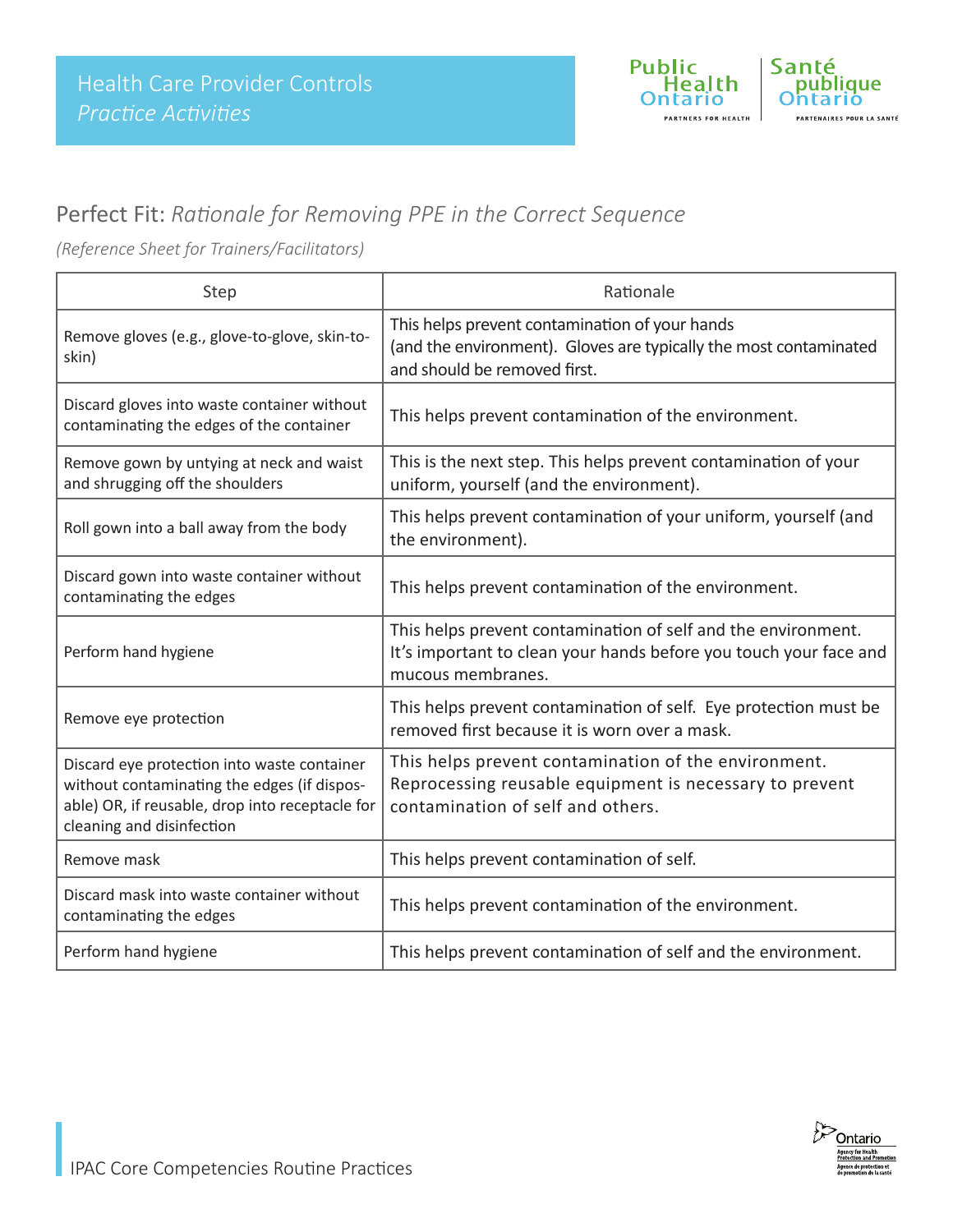

### Perfect Fit: *Rationale for Removing PPE in the Correct Sequence*

*(Reference Sheet for Trainers/Facilitators)*

| Step                                                                                                                                                                       | Rationale                                                                                                                                               |  |
|----------------------------------------------------------------------------------------------------------------------------------------------------------------------------|---------------------------------------------------------------------------------------------------------------------------------------------------------|--|
| Remove gloves (e.g., glove-to-glove, skin-to-<br>skin)                                                                                                                     | This helps prevent contamination of your hands<br>(and the environment). Gloves are typically the most contaminated<br>and should be removed first.     |  |
| Discard gloves into waste container without<br>contaminating the edges of the container                                                                                    | This helps prevent contamination of the environment.                                                                                                    |  |
| Remove gown by untying at neck and waist<br>and shrugging off the shoulders                                                                                                | This is the next step. This helps prevent contamination of your<br>uniform, yourself (and the environment).                                             |  |
| Roll gown into a ball away from the body                                                                                                                                   | This helps prevent contamination of your uniform, yourself (and<br>the environment).                                                                    |  |
| Discard gown into waste container without<br>contaminating the edges                                                                                                       | This helps prevent contamination of the environment.                                                                                                    |  |
| Perform hand hygiene                                                                                                                                                       | This helps prevent contamination of self and the environment.<br>It's important to clean your hands before you touch your face and<br>mucous membranes. |  |
| Remove eye protection                                                                                                                                                      | This helps prevent contamination of self. Eye protection must be<br>removed first because it is worn over a mask.                                       |  |
| Discard eye protection into waste container<br>without contaminating the edges (if dispos-<br>able) OR, if reusable, drop into receptacle for<br>cleaning and disinfection | This helps prevent contamination of the environment.<br>Reprocessing reusable equipment is necessary to prevent<br>contamination of self and others.    |  |
| Remove mask                                                                                                                                                                | This helps prevent contamination of self.                                                                                                               |  |
| Discard mask into waste container without<br>contaminating the edges                                                                                                       | This helps prevent contamination of the environment.                                                                                                    |  |
| Perform hand hygiene                                                                                                                                                       | This helps prevent contamination of self and the environment.                                                                                           |  |

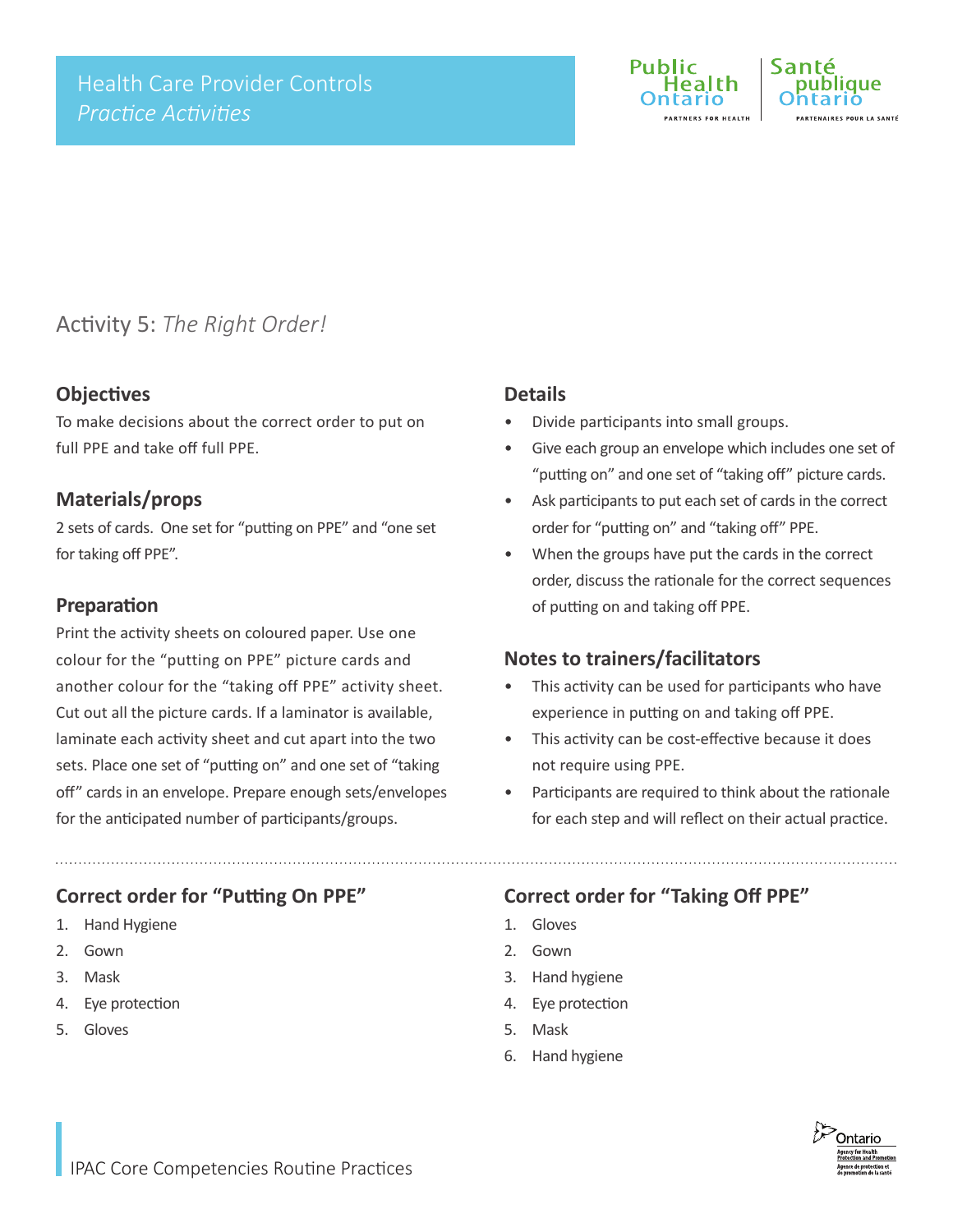

### Activity 5: *The Right Order!*

#### **Objectives**

To make decisions about the correct order to put on full PPE and take off full PPE.

#### **Materials/props**

2 sets of cards. One set for "putting on PPE" and "one set for taking off PPE".

#### **Preparation**

Print the activity sheets on coloured paper. Use one colour for the "putting on PPE" picture cards and another colour for the "taking off PPE" activity sheet. Cut out all the picture cards. If a laminator is available, laminate each activity sheet and cut apart into the two sets. Place one set of "putting on" and one set of "taking off" cards in an envelope. Prepare enough sets/envelopes for the anticipated number of participants/groups.

#### **Correct order for "Putting On PPE"**

- 1. Hand Hygiene
- 2. Gown
- 3. Mask
- 4. Eye protection
- 5. Gloves

#### **Details**

- Divide participants into small groups.
- Give each group an envelope which includes one set of "putting on" and one set of "taking off" picture cards.
- Ask participants to put each set of cards in the correct order for "putting on" and "taking off" PPE.
- When the groups have put the cards in the correct order, discuss the rationale for the correct sequences of putting on and taking off PPE.

#### **Notes to trainers/facilitators**

- This activity can be used for participants who have experience in putting on and taking off PPE.
- This activity can be cost-effective because it does not require using PPE.
- Participants are required to think about the rationale for each step and will reflect on their actual practice.

#### **Correct order for "Taking Off PPE"**

- 1. Gloves
- 2. Gown
- 3. Hand hygiene
- 4. Eye protection
- 5. Mask
- 6. Hand hygiene

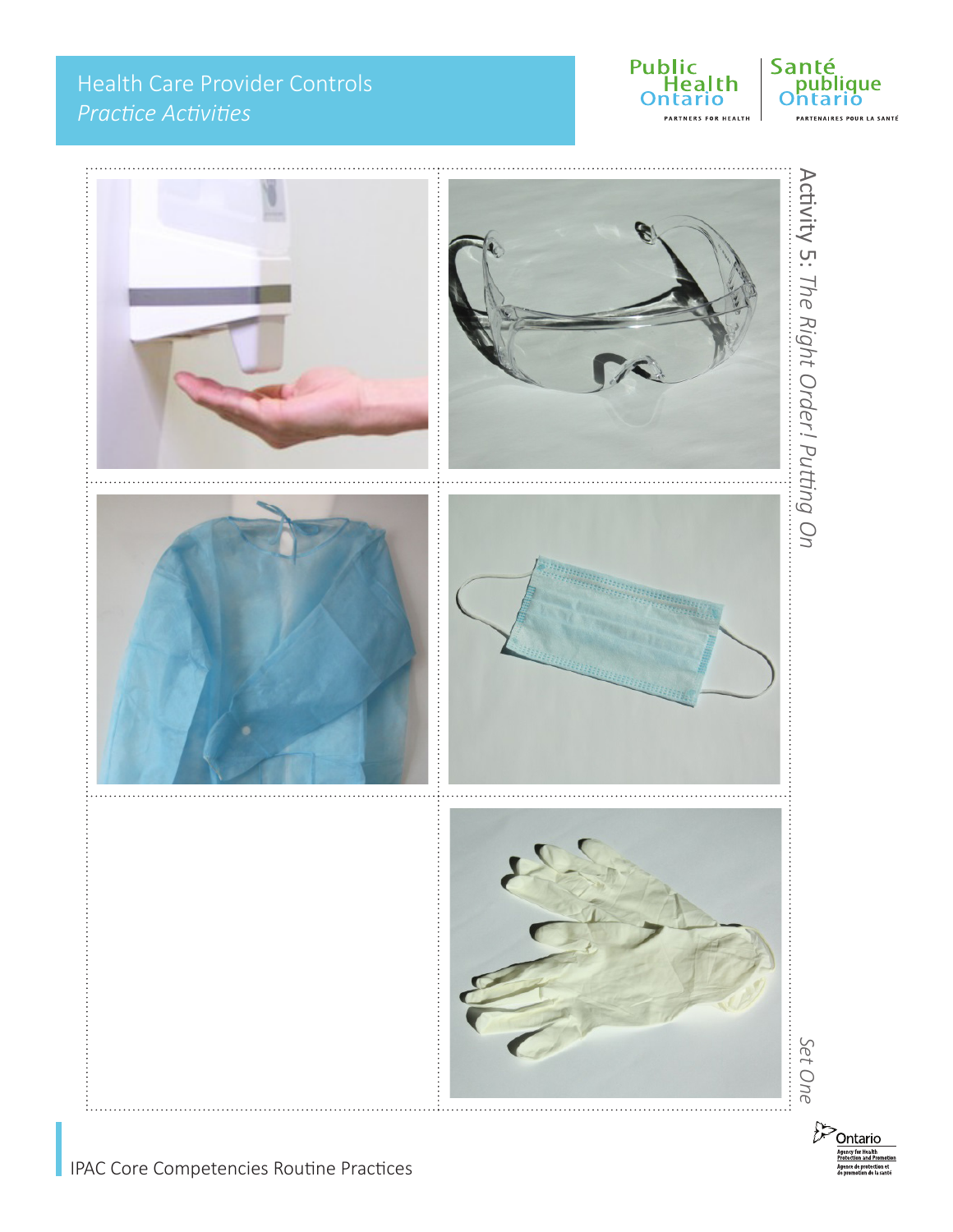### Health Care Provider Controls *Practice Activities*





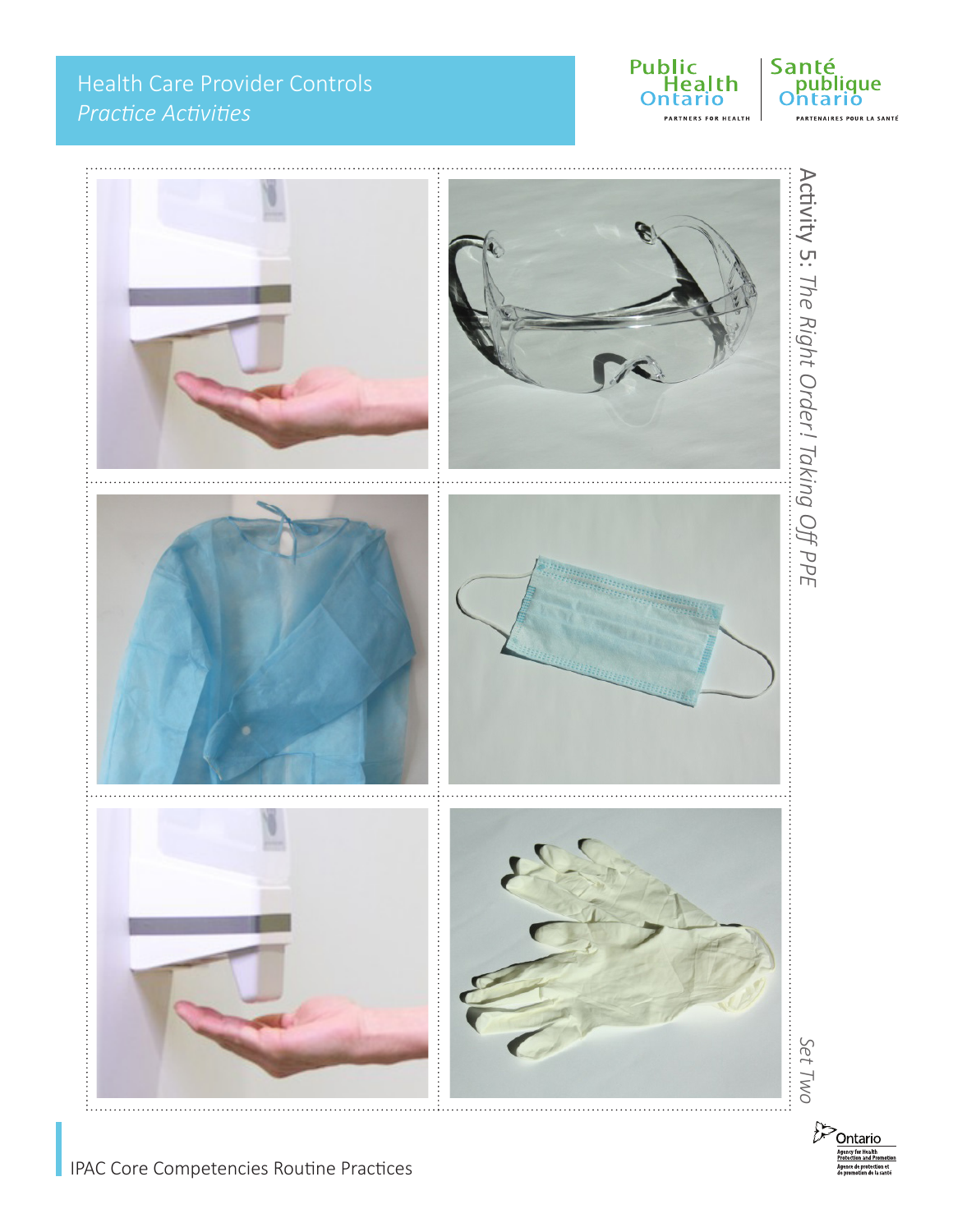### Health Care Provider Controls *Practice Activities*







Ontario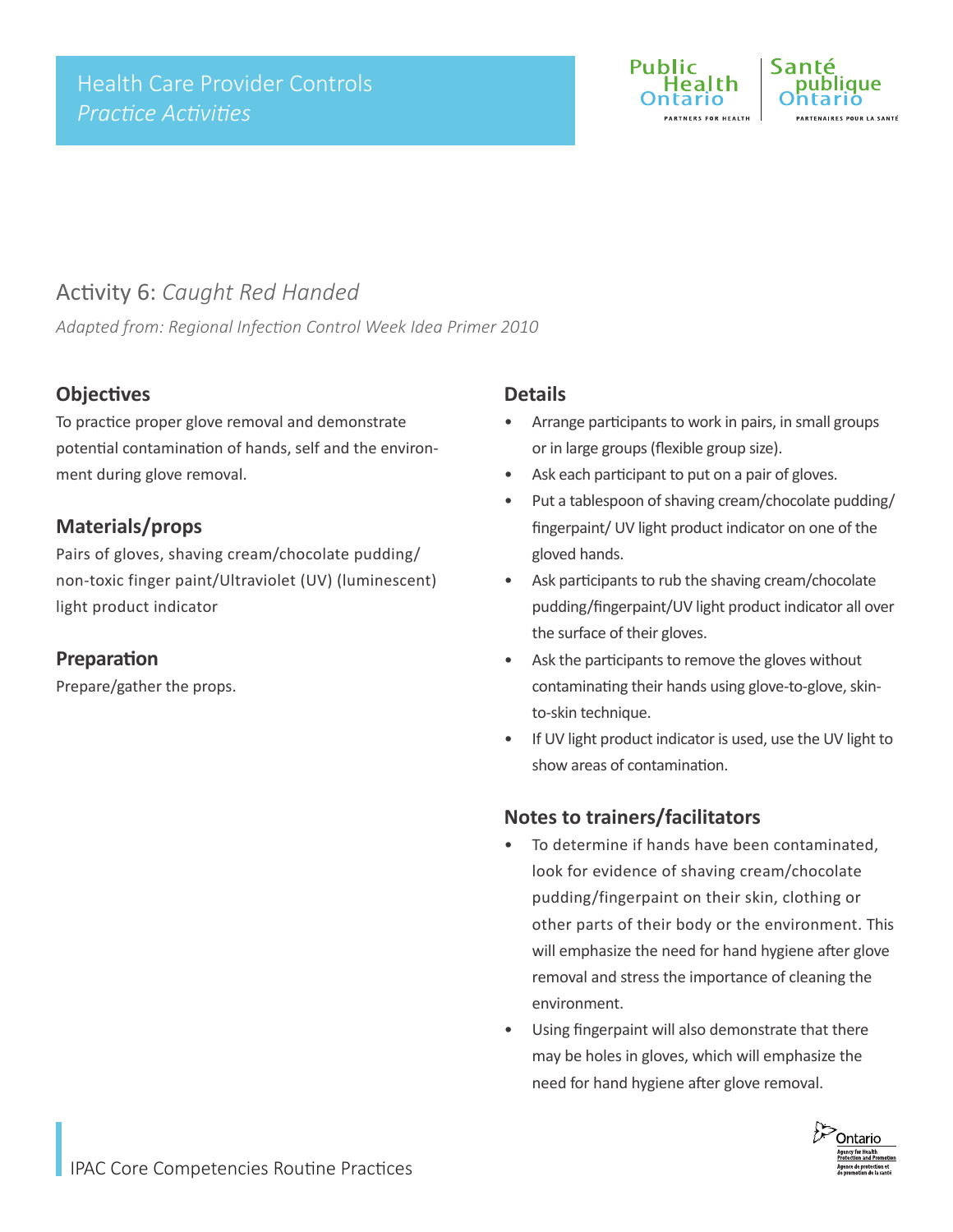

### Activity 6: *Caught Red Handed*

*Adapted from: Regional Infection Control Week Idea Primer 2010*

#### **Objectives**

To practice proper glove removal and demonstrate potential contamination of hands, self and the environment during glove removal.

#### **Materials/props**

Pairs of gloves, shaving cream/chocolate pudding/ non-toxic finger paint/Ultraviolet (UV) (luminescent) light product indicator

#### **Preparation**

Prepare/gather the props.

#### **Details**

- Arrange participants to work in pairs, in small groups or in large groups (flexible group size).
- Ask each participant to put on a pair of gloves.
- Put a tablespoon of shaving cream/chocolate pudding/ fingerpaint/ UV light product indicator on one of the gloved hands.
- Ask participants to rub the shaving cream/chocolate pudding/fingerpaint/UV light product indicator all over the surface of their gloves.
- Ask the participants to remove the gloves without contaminating their hands using glove-to-glove, skinto-skin technique.
- If UV light product indicator is used, use the UV light to show areas of contamination.

#### **Notes to trainers/facilitators**

- To determine if hands have been contaminated, look for evidence of shaving cream/chocolate pudding/fingerpaint on their skin, clothing or other parts of their body or the environment. This will emphasize the need for hand hygiene after glove removal and stress the importance of cleaning the environment.
- Using fingerpaint will also demonstrate that there may be holes in gloves, which will emphasize the need for hand hygiene after glove removal.

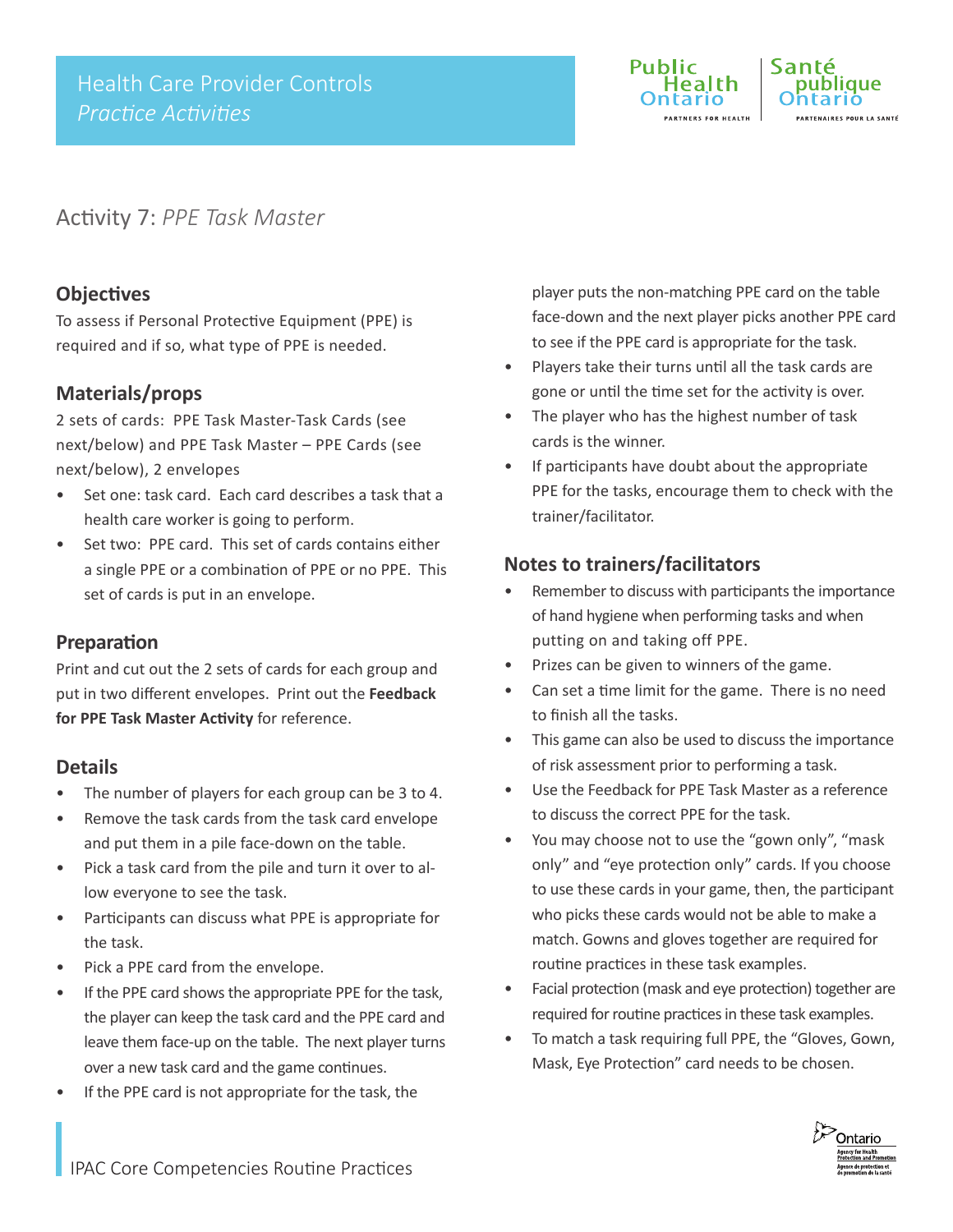

### Activity 7: *PPE Task Master*

#### **Objectives**

To assess if Personal Protective Equipment (PPE) is required and if so, what type of PPE is needed.

#### **Materials/props**

2 sets of cards: PPE Task Master-Task Cards (see next/below) and PPE Task Master – PPE Cards (see next/below), 2 envelopes

- Set one: task card. Each card describes a task that a health care worker is going to perform.
- Set two: PPE card. This set of cards contains either a single PPE or a combination of PPE or no PPE. This set of cards is put in an envelope.

#### **Preparation**

Print and cut out the 2 sets of cards for each group and put in two different envelopes. Print out the **Feedback for PPE Task Master Activity** for reference.

#### **Details**

- The number of players for each group can be 3 to 4.
- Remove the task cards from the task card envelope and put them in a pile face-down on the table.
- Pick a task card from the pile and turn it over to allow everyone to see the task.
- Participants can discuss what PPE is appropriate for the task.
- Pick a PPE card from the envelope.
- If the PPE card shows the appropriate PPE for the task, the player can keep the task card and the PPE card and leave them face-up on the table. The next player turns over a new task card and the game continues.
- If the PPE card is not appropriate for the task, the

player puts the non-matching PPE card on the table face-down and the next player picks another PPE card to see if the PPE card is appropriate for the task.

- Players take their turns until all the task cards are gone or until the time set for the activity is over.
- The player who has the highest number of task cards is the winner.
- If participants have doubt about the appropriate PPE for the tasks, encourage them to check with the trainer/facilitator.

#### **Notes to trainers/facilitators**

- Remember to discuss with participants the importance of hand hygiene when performing tasks and when putting on and taking off PPE.
- Prizes can be given to winners of the game.
- Can set a time limit for the game. There is no need to finish all the tasks.
- This game can also be used to discuss the importance of risk assessment prior to performing a task.
- Use the Feedback for PPE Task Master as a reference to discuss the correct PPE for the task.
- You may choose not to use the "gown only", "mask only" and "eye protection only" cards. If you choose to use these cards in your game, then, the participant who picks these cards would not be able to make a match. Gowns and gloves together are required for routine practices in these task examples.
- Facial protection (mask and eye protection) together are required for routine practices in these task examples.
- To match a task requiring full PPE, the "Gloves, Gown, Mask, Eye Protection" card needs to be chosen.

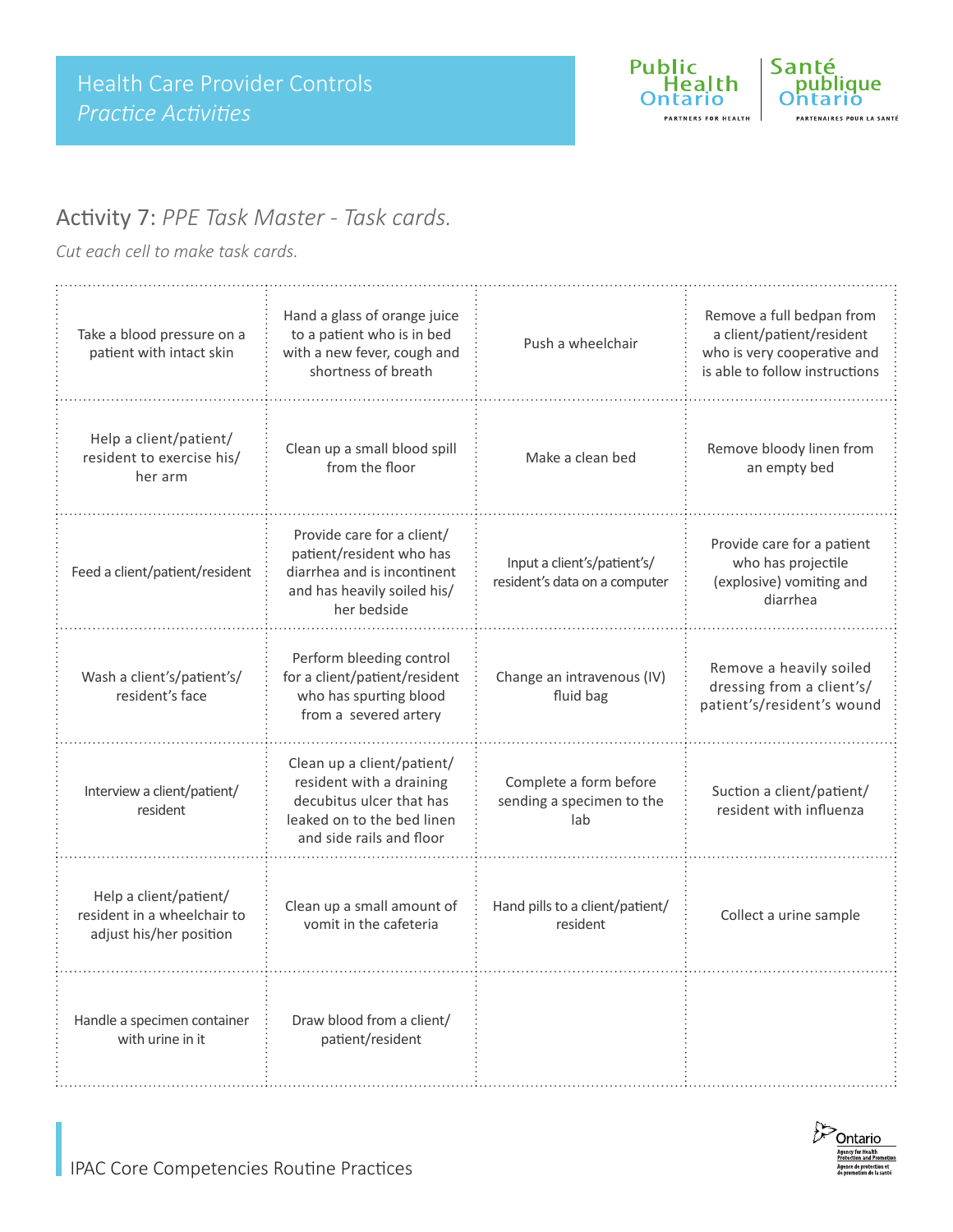

### Activity 7: *PPE Task Master - Task cards.*

*Cut each cell to make task cards.*

| Take a blood pressure on a<br>patient with intact skin                           | Hand a glass of orange juice<br>to a patient who is in bed<br>with a new fever, cough and<br>shortness of breath                             | Push a wheelchair                                            | Remove a full bedpan from<br>a client/patient/resident<br>who is very cooperative and<br>is able to follow instructions |
|----------------------------------------------------------------------------------|----------------------------------------------------------------------------------------------------------------------------------------------|--------------------------------------------------------------|-------------------------------------------------------------------------------------------------------------------------|
| Help a client/patient/<br>resident to exercise his/<br>her arm                   | Clean up a small blood spill<br>from the floor                                                                                               | Make a clean bed                                             | Remove bloody linen from<br>an empty bed                                                                                |
| Feed a client/patient/resident                                                   | Provide care for a client/<br>patient/resident who has<br>diarrhea and is incontinent<br>and has heavily soiled his/<br>her bedside          | Input a client's/patient's/<br>resident's data on a computer | Provide care for a patient<br>who has projectile<br>(explosive) vomiting and<br>diarrhea                                |
| Wash a client's/patient's/<br>resident's face                                    | Perform bleeding control<br>for a client/patient/resident<br>who has spurting blood<br>from a severed artery                                 | Change an intravenous (IV)<br>fluid bag                      | Remove a heavily soiled<br>dressing from a client's/<br>patient's/resident's wound                                      |
| Interview a client/patient/<br>resident                                          | Clean up a client/patient/<br>resident with a draining<br>decubitus ulcer that has<br>leaked on to the bed linen<br>and side rails and floor | Complete a form before<br>sending a specimen to the<br>lab   | Suction a client/patient/<br>resident with influenza                                                                    |
| Help a client/patient/<br>resident in a wheelchair to<br>adjust his/her position | Clean up a small amount of<br>vomit in the cafeteria                                                                                         | Hand pills to a client/patient/<br>resident                  | Collect a urine sample                                                                                                  |
| Handle a specimen container<br>with urine in it                                  | Draw blood from a client/<br>patient/resident                                                                                                |                                                              |                                                                                                                         |

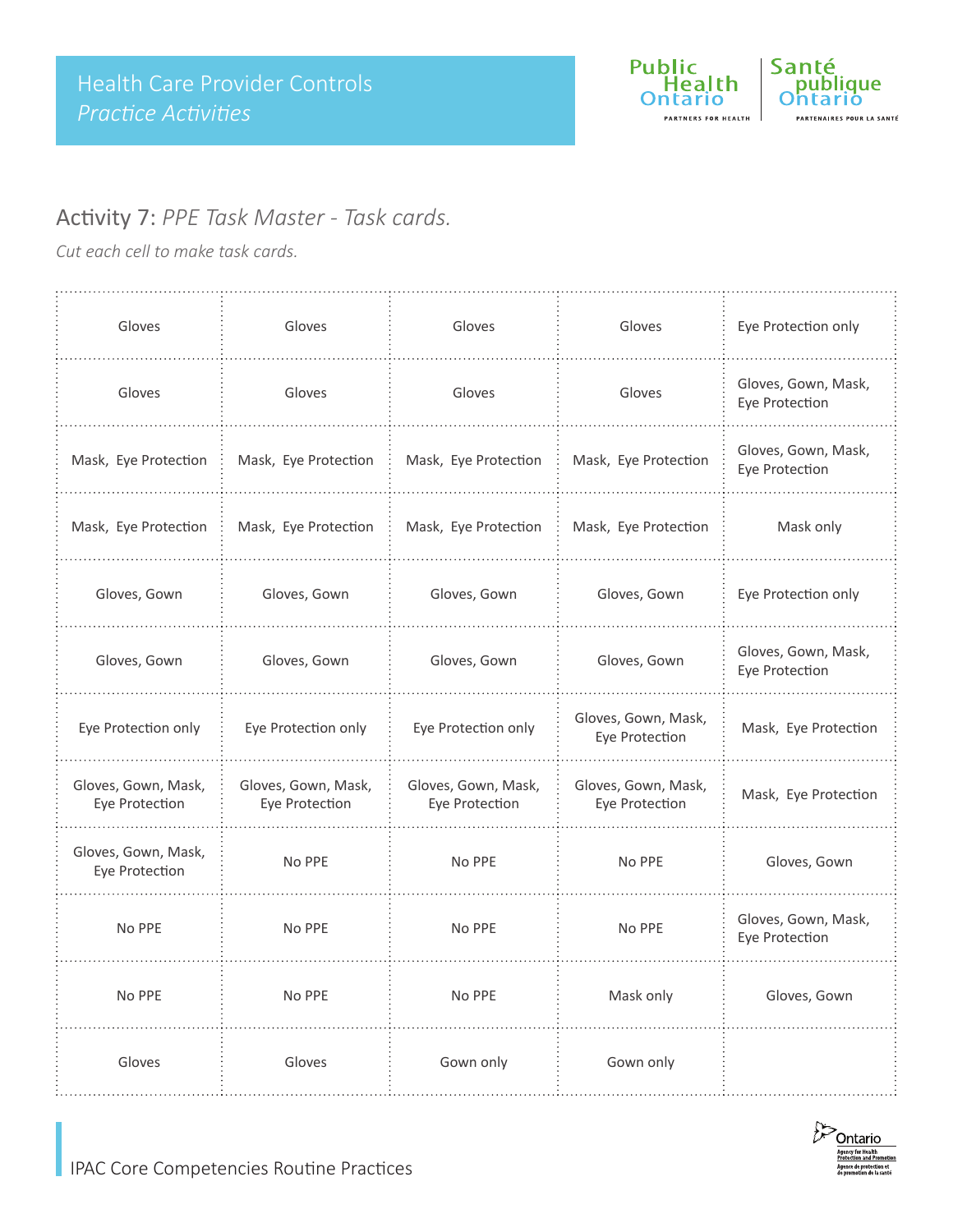

### Activity 7: *PPE Task Master - Task cards.*

*Cut each cell to make task cards.*

| Gloves                                | Gloves                                | Gloves                                | Gloves                                | Eye Protection only                   |
|---------------------------------------|---------------------------------------|---------------------------------------|---------------------------------------|---------------------------------------|
| Gloves                                | Gloves                                | Gloves                                | Gloves                                | Gloves, Gown, Mask,<br>Eye Protection |
| Mask, Eye Protection                  | Mask, Eye Protection                  | Mask, Eye Protection                  | Mask, Eye Protection                  | Gloves, Gown, Mask,<br>Eye Protection |
| Mask, Eye Protection                  | Mask, Eye Protection                  | Mask, Eye Protection                  | Mask, Eye Protection                  | Mask only                             |
| Gloves, Gown                          | Gloves, Gown                          | Gloves, Gown                          | Gloves, Gown                          | Eye Protection only                   |
| Gloves, Gown                          | Gloves, Gown                          | Gloves, Gown                          | Gloves, Gown                          | Gloves, Gown, Mask,<br>Eye Protection |
| Eye Protection only                   | Eye Protection only                   | Eye Protection only                   | Gloves, Gown, Mask,<br>Eye Protection | Mask, Eye Protection                  |
| Gloves, Gown, Mask,<br>Eye Protection | Gloves, Gown, Mask,<br>Eye Protection | Gloves, Gown, Mask,<br>Eye Protection | Gloves, Gown, Mask,<br>Eye Protection | Mask, Eye Protection                  |
| Gloves, Gown, Mask,<br>Eye Protection | No PPE                                | No PPE                                | No PPE                                | Gloves, Gown                          |
| No PPE                                | No PPE                                | No PPE                                | No PPE                                | Gloves, Gown, Mask,<br>Eye Protection |
| No PPE                                | No PPE                                | No PPE                                | Mask only                             | Gloves, Gown                          |
| Gloves                                | Gloves                                | Gown only                             | Gown only                             |                                       |

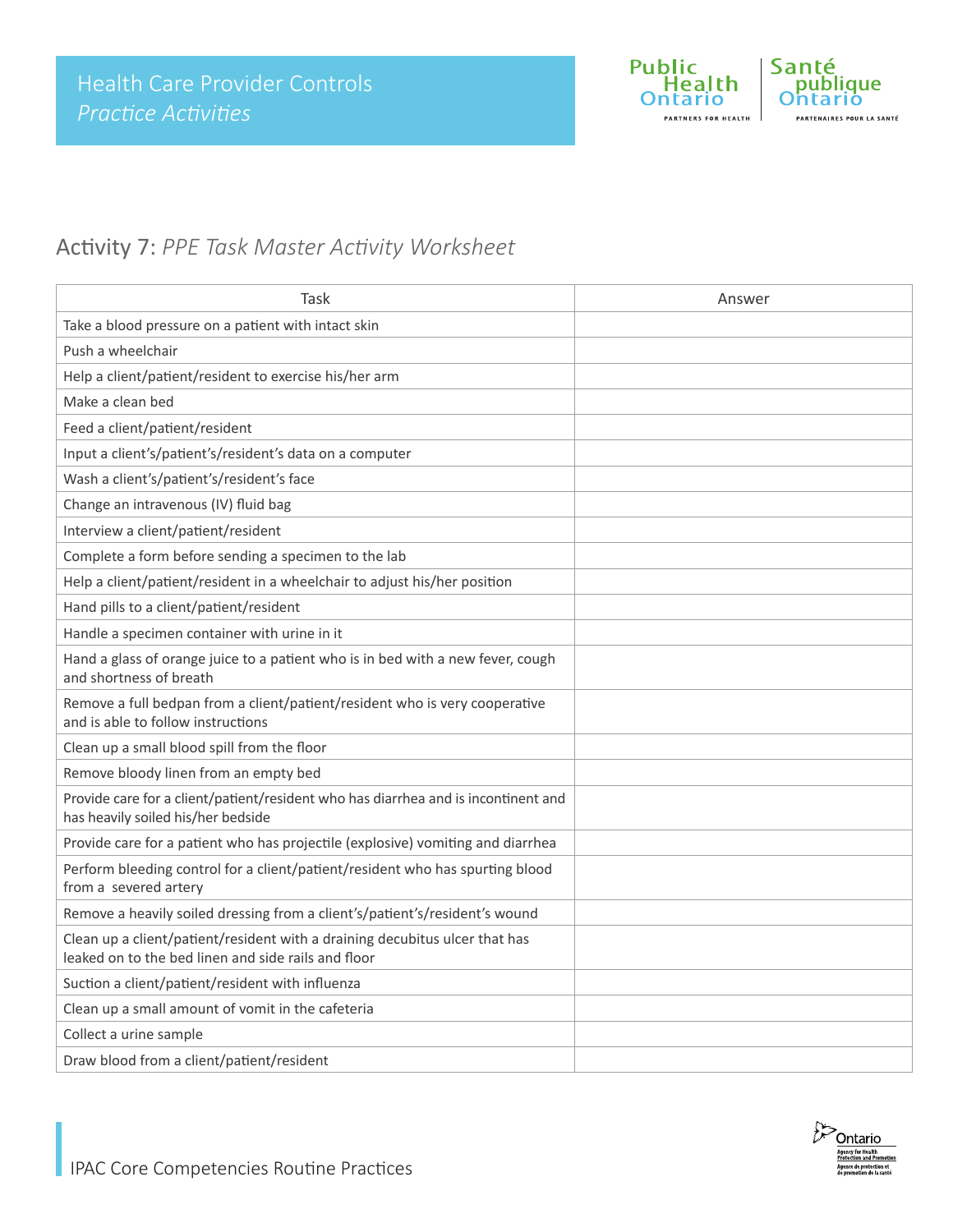

### Activity 7: *PPE Task Master Activity Worksheet*

| Task                                                                                                                               | Answer |
|------------------------------------------------------------------------------------------------------------------------------------|--------|
| Take a blood pressure on a patient with intact skin                                                                                |        |
| Push a wheelchair                                                                                                                  |        |
| Help a client/patient/resident to exercise his/her arm                                                                             |        |
| Make a clean bed                                                                                                                   |        |
| Feed a client/patient/resident                                                                                                     |        |
| Input a client's/patient's/resident's data on a computer                                                                           |        |
| Wash a client's/patient's/resident's face                                                                                          |        |
| Change an intravenous (IV) fluid bag                                                                                               |        |
| Interview a client/patient/resident                                                                                                |        |
| Complete a form before sending a specimen to the lab                                                                               |        |
| Help a client/patient/resident in a wheelchair to adjust his/her position                                                          |        |
| Hand pills to a client/patient/resident                                                                                            |        |
| Handle a specimen container with urine in it                                                                                       |        |
| Hand a glass of orange juice to a patient who is in bed with a new fever, cough<br>and shortness of breath                         |        |
| Remove a full bedpan from a client/patient/resident who is very cooperative<br>and is able to follow instructions                  |        |
| Clean up a small blood spill from the floor                                                                                        |        |
| Remove bloody linen from an empty bed                                                                                              |        |
| Provide care for a client/patient/resident who has diarrhea and is incontinent and<br>has heavily soiled his/her bedside           |        |
| Provide care for a patient who has projectile (explosive) vomiting and diarrhea                                                    |        |
| Perform bleeding control for a client/patient/resident who has spurting blood<br>from a severed artery                             |        |
| Remove a heavily soiled dressing from a client's/patient's/resident's wound                                                        |        |
| Clean up a client/patient/resident with a draining decubitus ulcer that has<br>leaked on to the bed linen and side rails and floor |        |
| Suction a client/patient/resident with influenza                                                                                   |        |
| Clean up a small amount of vomit in the cafeteria                                                                                  |        |
| Collect a urine sample                                                                                                             |        |
| Draw blood from a client/patient/resident                                                                                          |        |

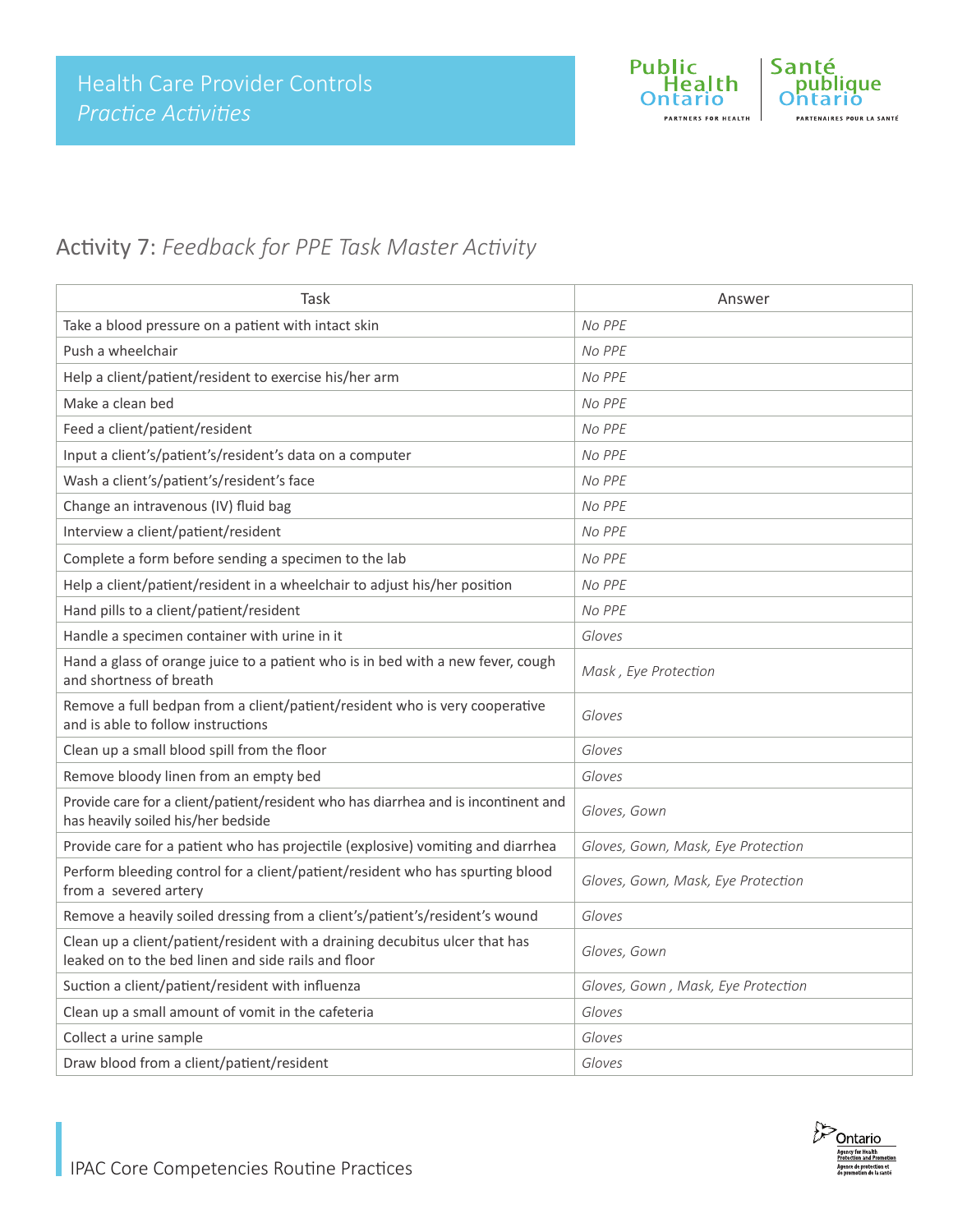

### Activity 7: *Feedback for PPE Task Master Activity*

| Task                                                                                                                               | Answer                             |
|------------------------------------------------------------------------------------------------------------------------------------|------------------------------------|
| Take a blood pressure on a patient with intact skin                                                                                | No PPE                             |
| Push a wheelchair                                                                                                                  | No PPE                             |
| Help a client/patient/resident to exercise his/her arm                                                                             | No PPE                             |
| Make a clean bed                                                                                                                   | No PPE                             |
| Feed a client/patient/resident                                                                                                     | No PPE                             |
| Input a client's/patient's/resident's data on a computer                                                                           | No PPE                             |
| Wash a client's/patient's/resident's face                                                                                          | No PPE                             |
| Change an intravenous (IV) fluid bag                                                                                               | No PPE                             |
| Interview a client/patient/resident                                                                                                | No PPE                             |
| Complete a form before sending a specimen to the lab                                                                               | No PPE                             |
| Help a client/patient/resident in a wheelchair to adjust his/her position                                                          | No PPE                             |
| Hand pills to a client/patient/resident                                                                                            | No PPE                             |
| Handle a specimen container with urine in it                                                                                       | Gloves                             |
| Hand a glass of orange juice to a patient who is in bed with a new fever, cough<br>and shortness of breath                         | Mask, Eye Protection               |
| Remove a full bedpan from a client/patient/resident who is very cooperative<br>and is able to follow instructions                  | Gloves                             |
| Clean up a small blood spill from the floor                                                                                        | Gloves                             |
| Remove bloody linen from an empty bed                                                                                              | Gloves                             |
| Provide care for a client/patient/resident who has diarrhea and is incontinent and<br>has heavily soiled his/her bedside           | Gloves, Gown                       |
| Provide care for a patient who has projectile (explosive) vomiting and diarrhea                                                    | Gloves, Gown, Mask, Eye Protection |
| Perform bleeding control for a client/patient/resident who has spurting blood<br>from a severed artery                             | Gloves, Gown, Mask, Eye Protection |
| Remove a heavily soiled dressing from a client's/patient's/resident's wound                                                        | Gloves                             |
| Clean up a client/patient/resident with a draining decubitus ulcer that has<br>leaked on to the bed linen and side rails and floor | Gloves, Gown                       |
| Suction a client/patient/resident with influenza                                                                                   | Gloves, Gown, Mask, Eye Protection |
| Clean up a small amount of vomit in the cafeteria                                                                                  | Gloves                             |
| Collect a urine sample                                                                                                             | Gloves                             |
| Draw blood from a client/patient/resident                                                                                          | Gloves                             |

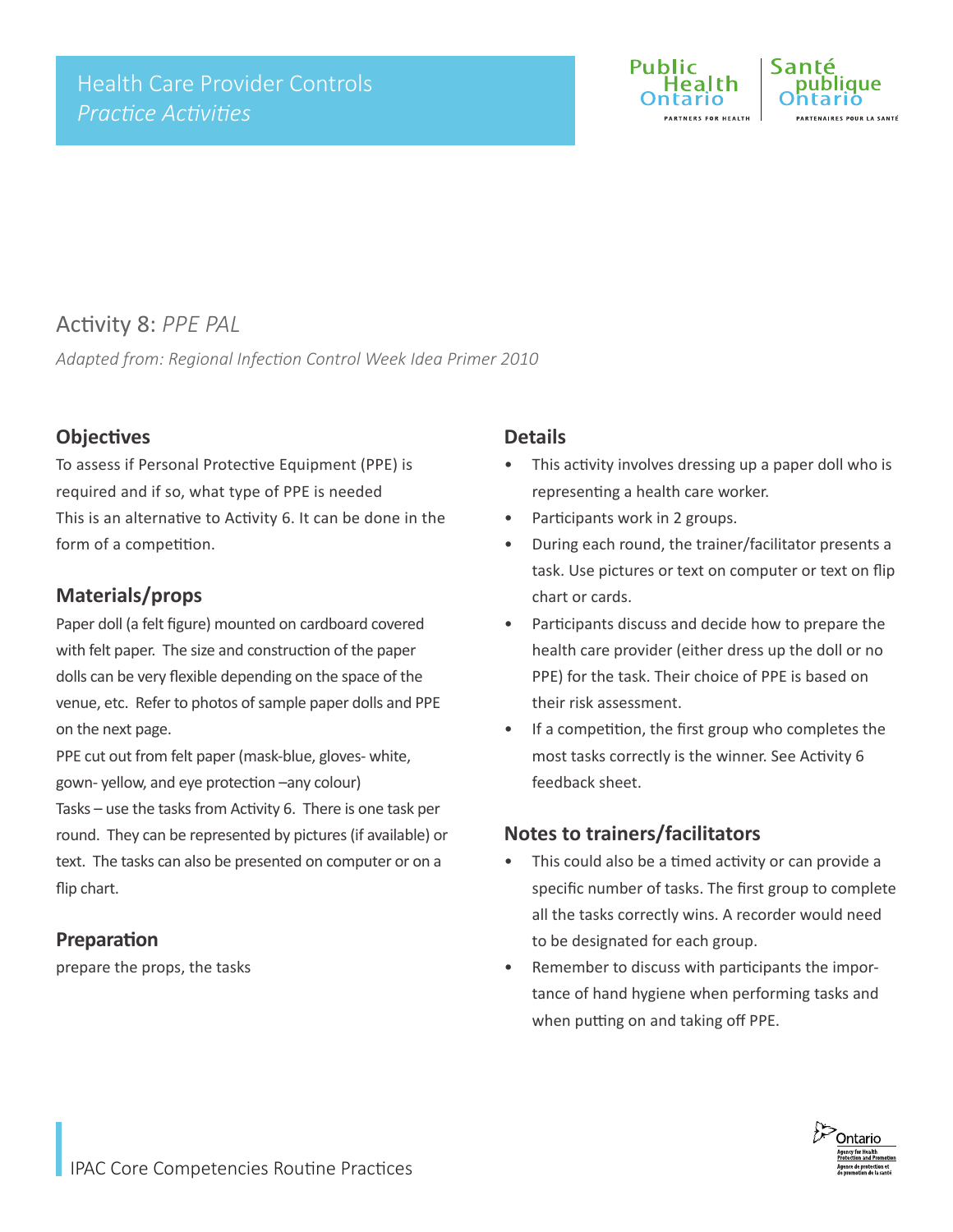

### Activity 8: *PPE PAL*

*Adapted from: Regional Infection Control Week Idea Primer 2010*

#### **Objectives**

To assess if Personal Protective Equipment (PPE) is required and if so, what type of PPE is needed This is an alternative to Activity 6. It can be done in the form of a competition.

#### **Materials/props**

Paper doll (a felt figure) mounted on cardboard covered with felt paper. The size and construction of the paper dolls can be very flexible depending on the space of the venue, etc. Refer to photos of sample paper dolls and PPE on the next page.

PPE cut out from felt paper (mask-blue, gloves- white, gown- yellow, and eye protection –any colour)

Tasks – use the tasks from Activity 6. There is one task per round. They can be represented by pictures (if available) or text. The tasks can also be presented on computer or on a flip chart.

#### **Preparation**

prepare the props, the tasks

#### **Details**

- This activity involves dressing up a paper doll who is representing a health care worker.
- Participants work in 2 groups.
- During each round, the trainer/facilitator presents a task. Use pictures or text on computer or text on flip chart or cards.
- Participants discuss and decide how to prepare the health care provider (either dress up the doll or no PPE) for the task. Their choice of PPE is based on their risk assessment.
- If a competition, the first group who completes the most tasks correctly is the winner. See Activity 6 feedback sheet.

#### **Notes to trainers/facilitators**

- This could also be a timed activity or can provide a specific number of tasks. The first group to complete all the tasks correctly wins. A recorder would need to be designated for each group.
- Remember to discuss with participants the importance of hand hygiene when performing tasks and when putting on and taking off PPE.

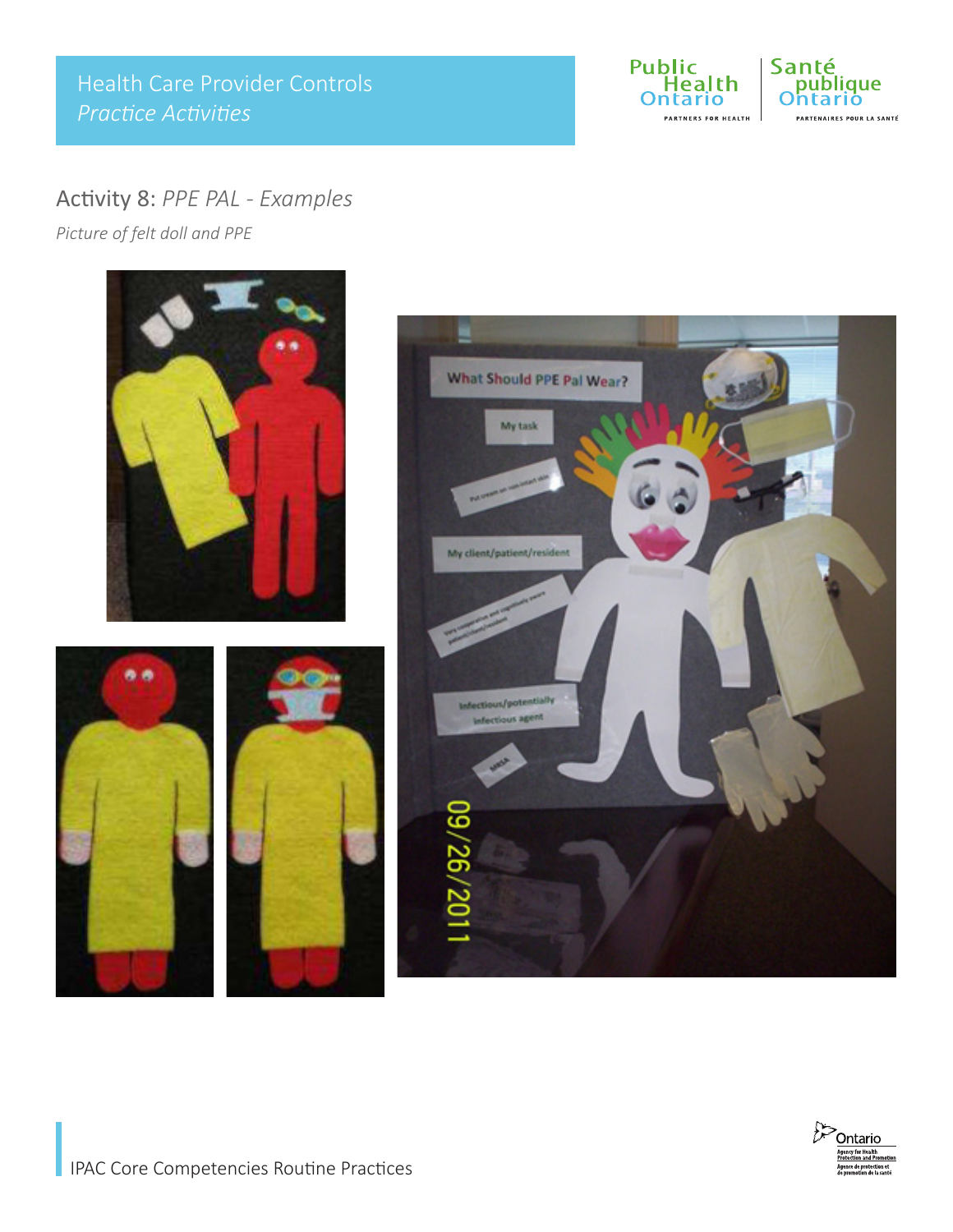Health Care Provider Controls *Practice Activities*



### Activity 8: *PPE PAL - Examples*

*Picture of felt doll and PPE*

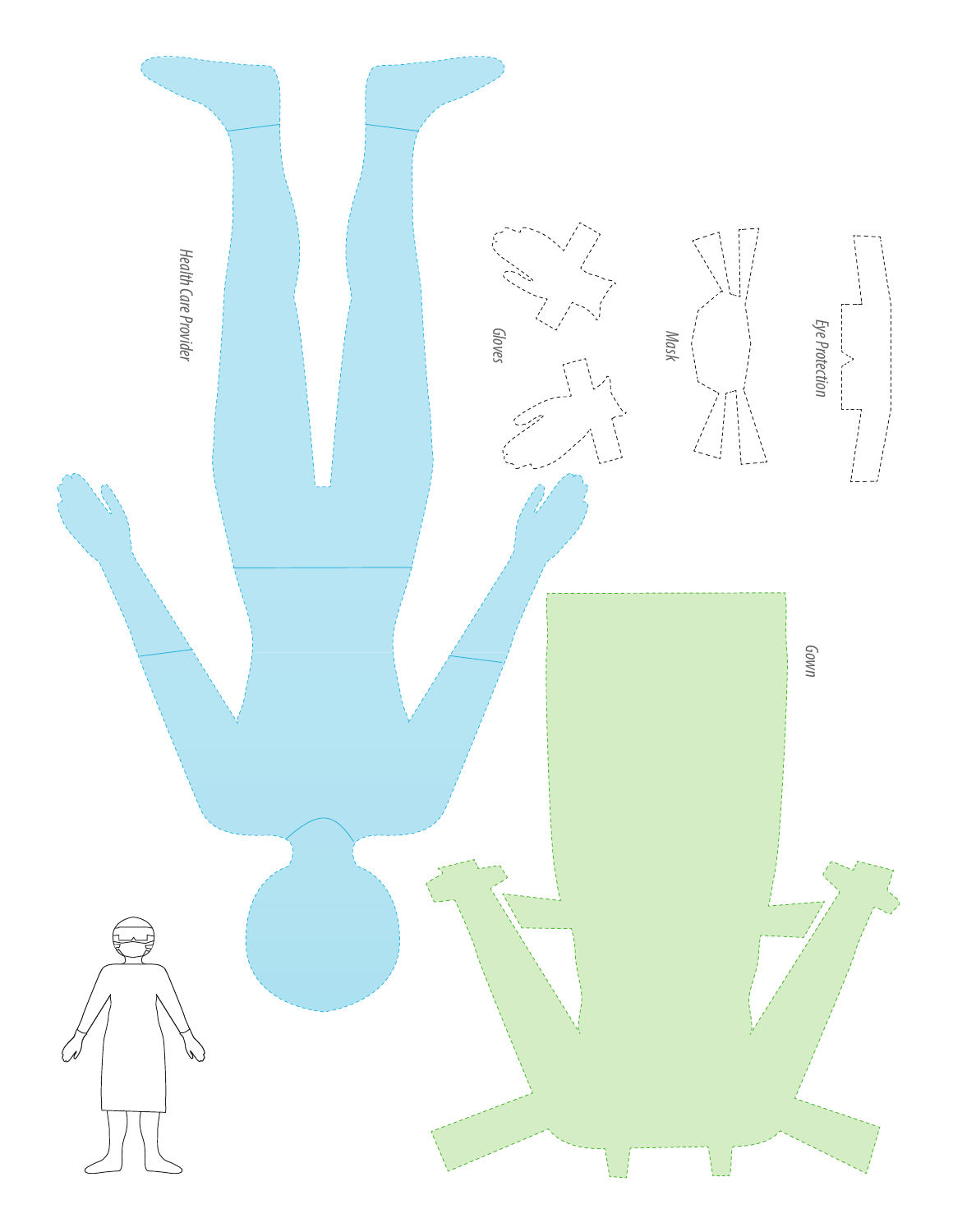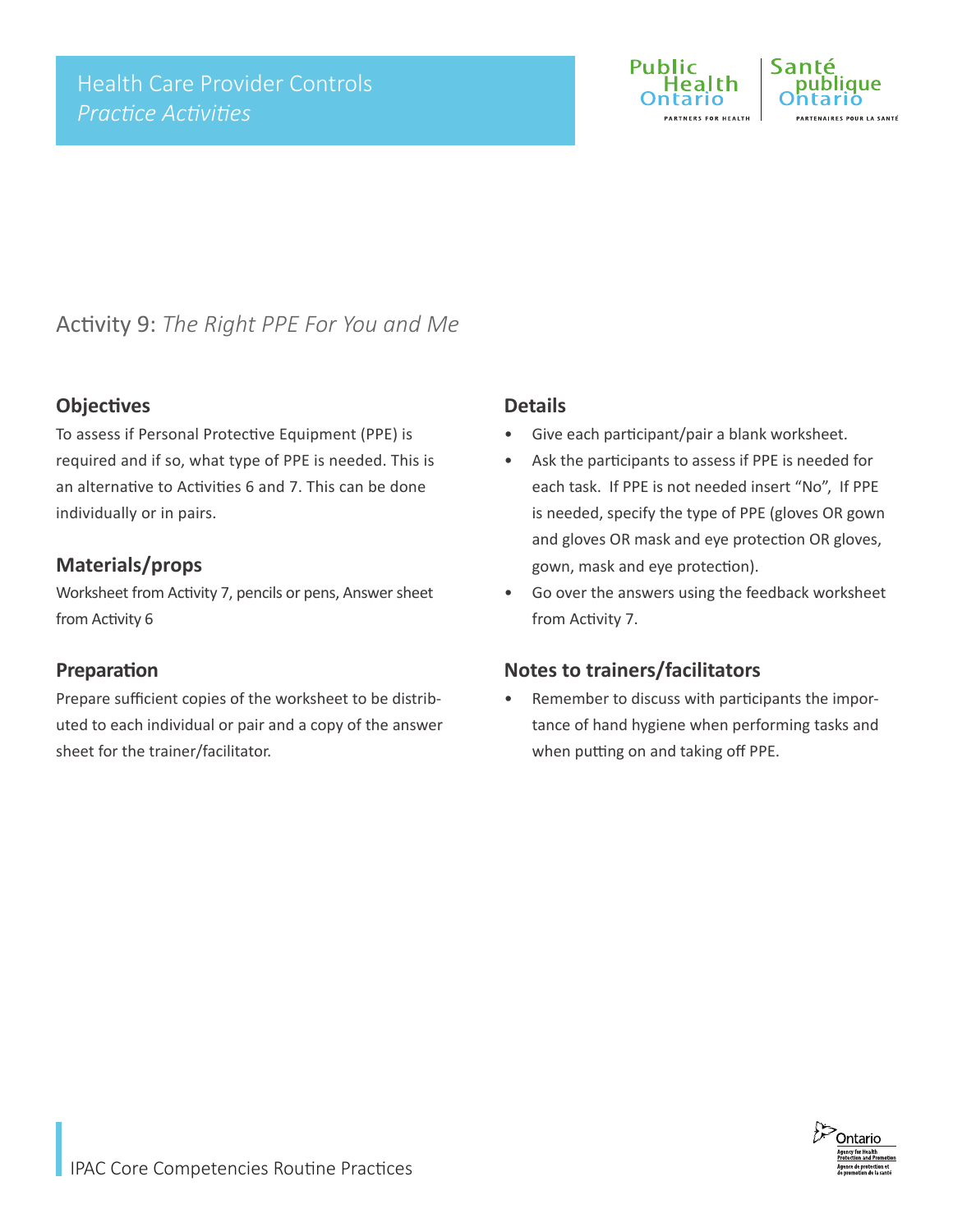

# LA SANTÉ

## Activity 9: *The Right PPE For You and Me*

#### **Objectives**

To assess if Personal Protective Equipment (PPE) is required and if so, what type of PPE is needed. This is an alternative to Activities 6 and 7. This can be done individually or in pairs.

#### **Materials/props**

Worksheet from Activity 7, pencils or pens, Answer sheet from Activity 6

#### **Preparation**

Prepare sufficient copies of the worksheet to be distributed to each individual or pair and a copy of the answer sheet for the trainer/facilitator.

#### **Details**

- Give each participant/pair a blank worksheet.
- Ask the participants to assess if PPE is needed for each task. If PPE is not needed insert "No", If PPE is needed, specify the type of PPE (gloves OR gown and gloves OR mask and eye protection OR gloves, gown, mask and eye protection).
- Go over the answers using the feedback worksheet from Activity 7.

### **Notes to trainers/facilitators**

Remember to discuss with participants the importance of hand hygiene when performing tasks and when putting on and taking off PPE.

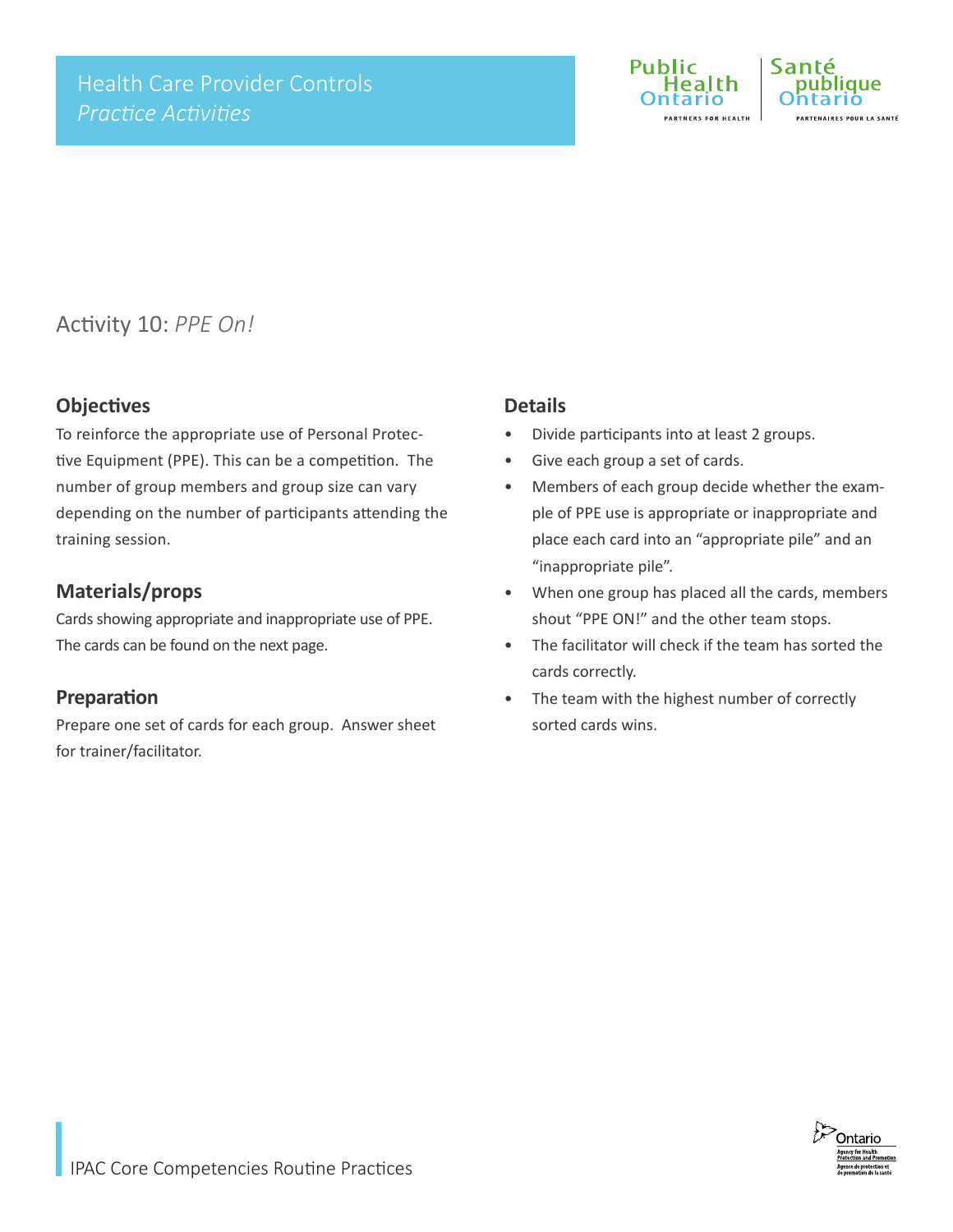

**ID LA CANTÉ** 

Activity 10: *PPE On!*

#### **Objectives**

To reinforce the appropriate use of Personal Protective Equipment (PPE). This can be a competition. The number of group members and group size can vary depending on the number of participants attending the training session.

#### **Materials/props**

Cards showing appropriate and inappropriate use of PPE. The cards can be found on the next page.

#### **Preparation**

Prepare one set of cards for each group. Answer sheet for trainer/facilitator.

#### **Details**

- Divide participants into at least 2 groups.
- Give each group a set of cards.
- Members of each group decide whether the example of PPE use is appropriate or inappropriate and place each card into an "appropriate pile" and an "inappropriate pile".
- When one group has placed all the cards, members shout "PPE ON!" and the other team stops.
- The facilitator will check if the team has sorted the cards correctly.
- The team with the highest number of correctly sorted cards wins.

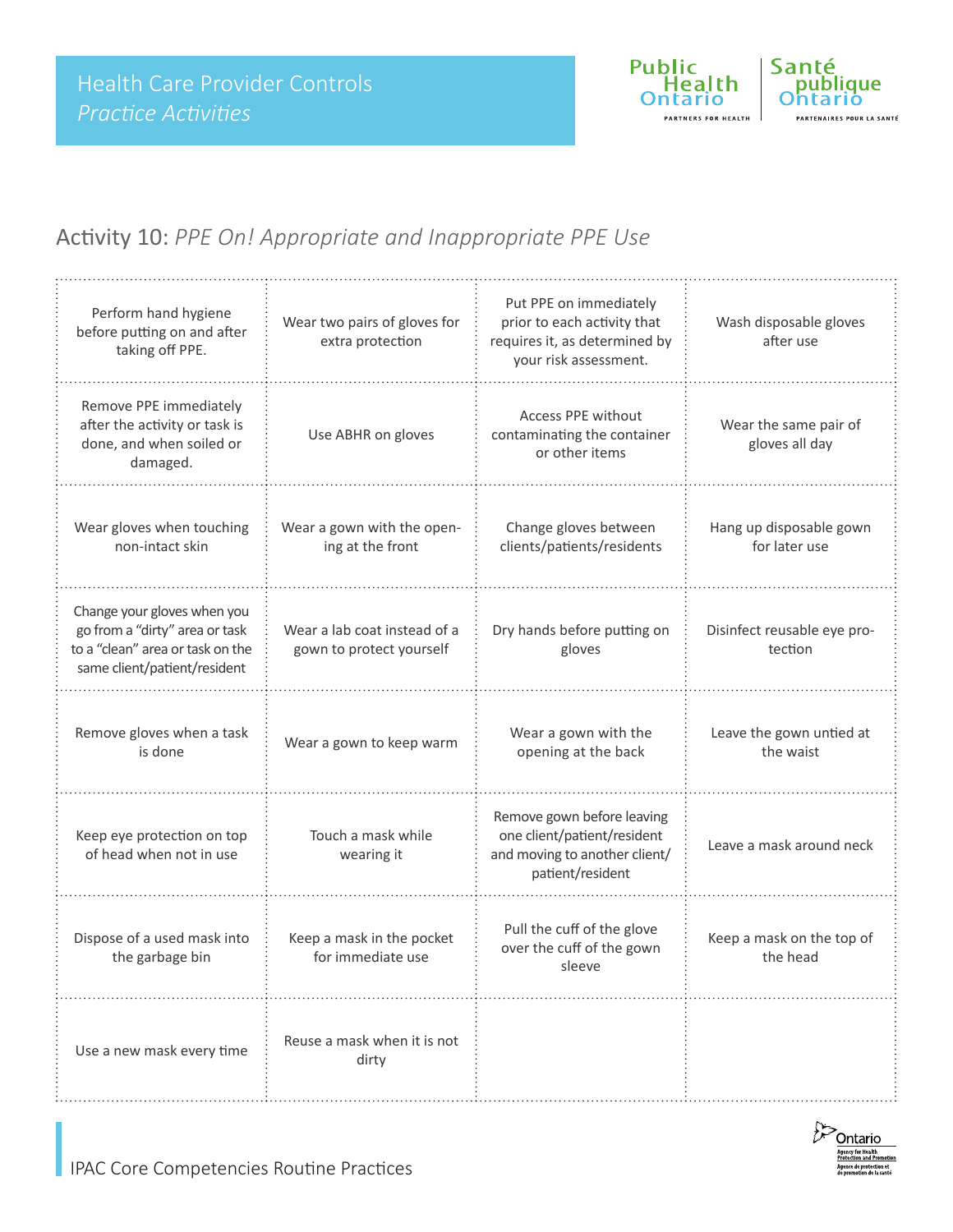

### Activity 10: *PPE On! Appropriate and Inappropriate PPE Use*

| Perform hand hygiene<br>before putting on and after<br>taking off PPE.                                                            | Wear two pairs of gloves for<br>extra protection         | Put PPE on immediately<br>prior to each activity that<br>requires it, as determined by<br>your risk assessment. | Wash disposable gloves<br>after use      |
|-----------------------------------------------------------------------------------------------------------------------------------|----------------------------------------------------------|-----------------------------------------------------------------------------------------------------------------|------------------------------------------|
| Remove PPE immediately<br>after the activity or task is<br>done, and when soiled or<br>damaged.                                   | Use ABHR on gloves                                       |                                                                                                                 | Wear the same pair of<br>gloves all day  |
| Wear gloves when touching<br>non-intact skin                                                                                      | Wear a gown with the open-<br>ing at the front           | Change gloves between<br>clients/patients/residents                                                             | Hang up disposable gown<br>for later use |
| Change your gloves when you<br>go from a "dirty" area or task<br>to a "clean" area or task on the<br>same client/patient/resident | Wear a lab coat instead of a<br>gown to protect yourself | Dry hands before putting on<br>gloves                                                                           | Disinfect reusable eye pro-<br>tection   |
| Remove gloves when a task<br>is done                                                                                              | Wear a gown to keep warm                                 | Wear a gown with the<br>opening at the back                                                                     | Leave the gown untied at<br>the waist    |
| Keep eye protection on top<br>of head when not in use                                                                             | Touch a mask while<br>wearing it                         | Remove gown before leaving<br>one client/patient/resident<br>and moving to another client/<br>patient/resident  | Leave a mask around neck                 |
| Dispose of a used mask into<br>the garbage bin                                                                                    | Keep a mask in the pocket<br>for immediate use           | Pull the cuff of the glove<br>over the cuff of the gown<br>sleeve                                               | Keep a mask on the top of<br>the head    |
| Use a new mask every time                                                                                                         | Reuse a mask when it is not<br>dirty                     |                                                                                                                 |                                          |

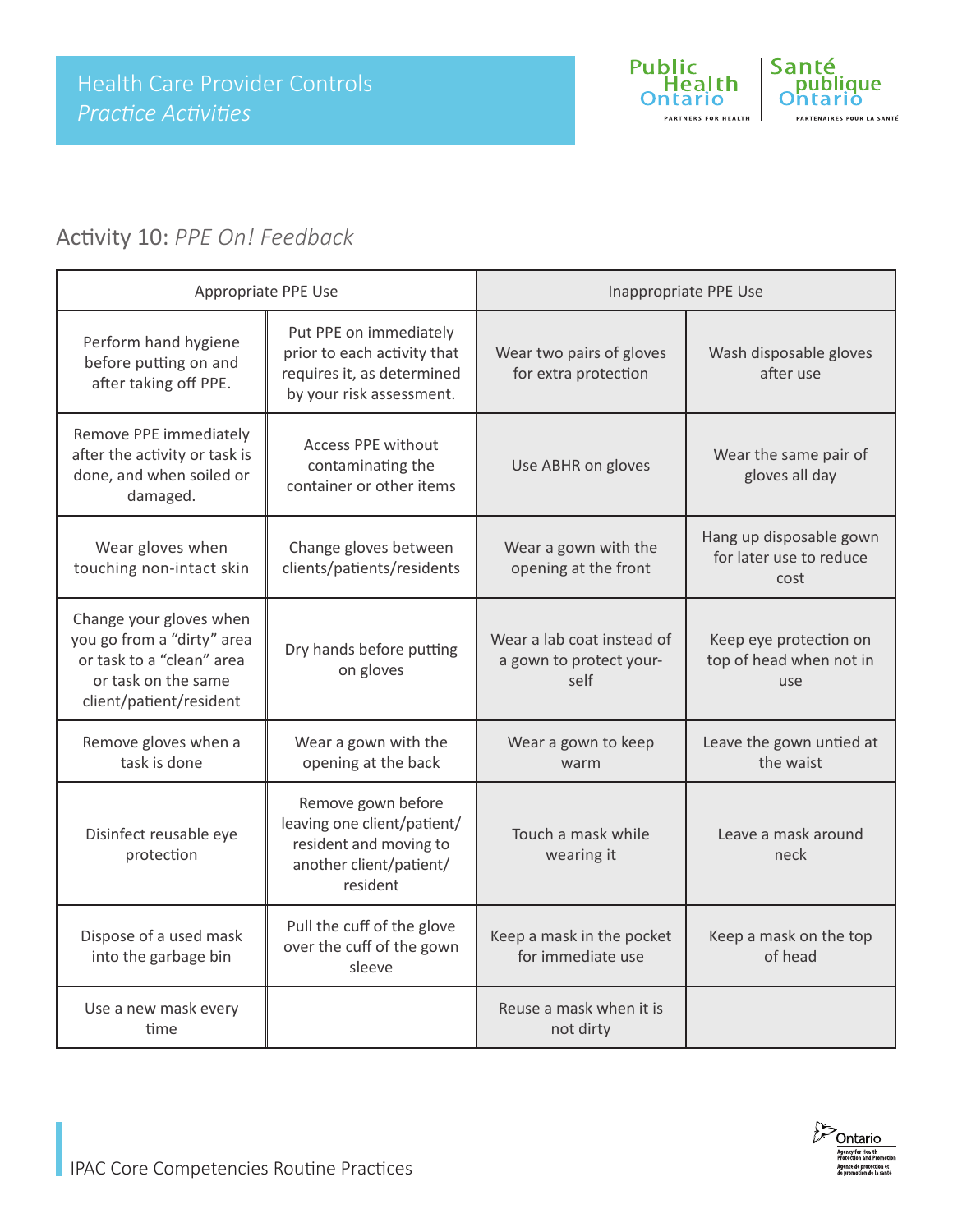

## Activity 10: *PPE On! Feedback*

| Appropriate PPE Use                                                                                                                  |                                                                                                                    | Inappropriate PPE Use                                         |                                                            |
|--------------------------------------------------------------------------------------------------------------------------------------|--------------------------------------------------------------------------------------------------------------------|---------------------------------------------------------------|------------------------------------------------------------|
| Perform hand hygiene<br>before putting on and<br>after taking off PPE.                                                               | Put PPE on immediately<br>prior to each activity that<br>requires it, as determined<br>by your risk assessment.    | Wear two pairs of gloves<br>for extra protection              | Wash disposable gloves<br>after use                        |
| Remove PPE immediately<br>after the activity or task is<br>done, and when soiled or<br>damaged.                                      | <b>Access PPE without</b><br>contaminating the<br>container or other items                                         | Use ABHR on gloves                                            | Wear the same pair of<br>gloves all day                    |
| Wear gloves when<br>touching non-intact skin                                                                                         | Change gloves between<br>clients/patients/residents                                                                | Wear a gown with the<br>opening at the front                  | Hang up disposable gown<br>for later use to reduce<br>cost |
| Change your gloves when<br>you go from a "dirty" area<br>or task to a "clean" area<br>or task on the same<br>client/patient/resident | Dry hands before putting<br>on gloves                                                                              | Wear a lab coat instead of<br>a gown to protect your-<br>self | Keep eye protection on<br>top of head when not in<br>use   |
| Remove gloves when a<br>task is done                                                                                                 | Wear a gown with the<br>opening at the back                                                                        | Wear a gown to keep<br>warm                                   | Leave the gown untied at<br>the waist                      |
| Disinfect reusable eye<br>protection                                                                                                 | Remove gown before<br>leaving one client/patient/<br>resident and moving to<br>another client/patient/<br>resident | Touch a mask while<br>wearing it                              | Leave a mask around<br>neck                                |
| Dispose of a used mask<br>into the garbage bin                                                                                       | Pull the cuff of the glove<br>over the cuff of the gown<br>sleeve                                                  | Keep a mask in the pocket<br>for immediate use                | Keep a mask on the top<br>of head                          |
| Use a new mask every<br>time                                                                                                         |                                                                                                                    | Reuse a mask when it is<br>not dirty                          |                                                            |

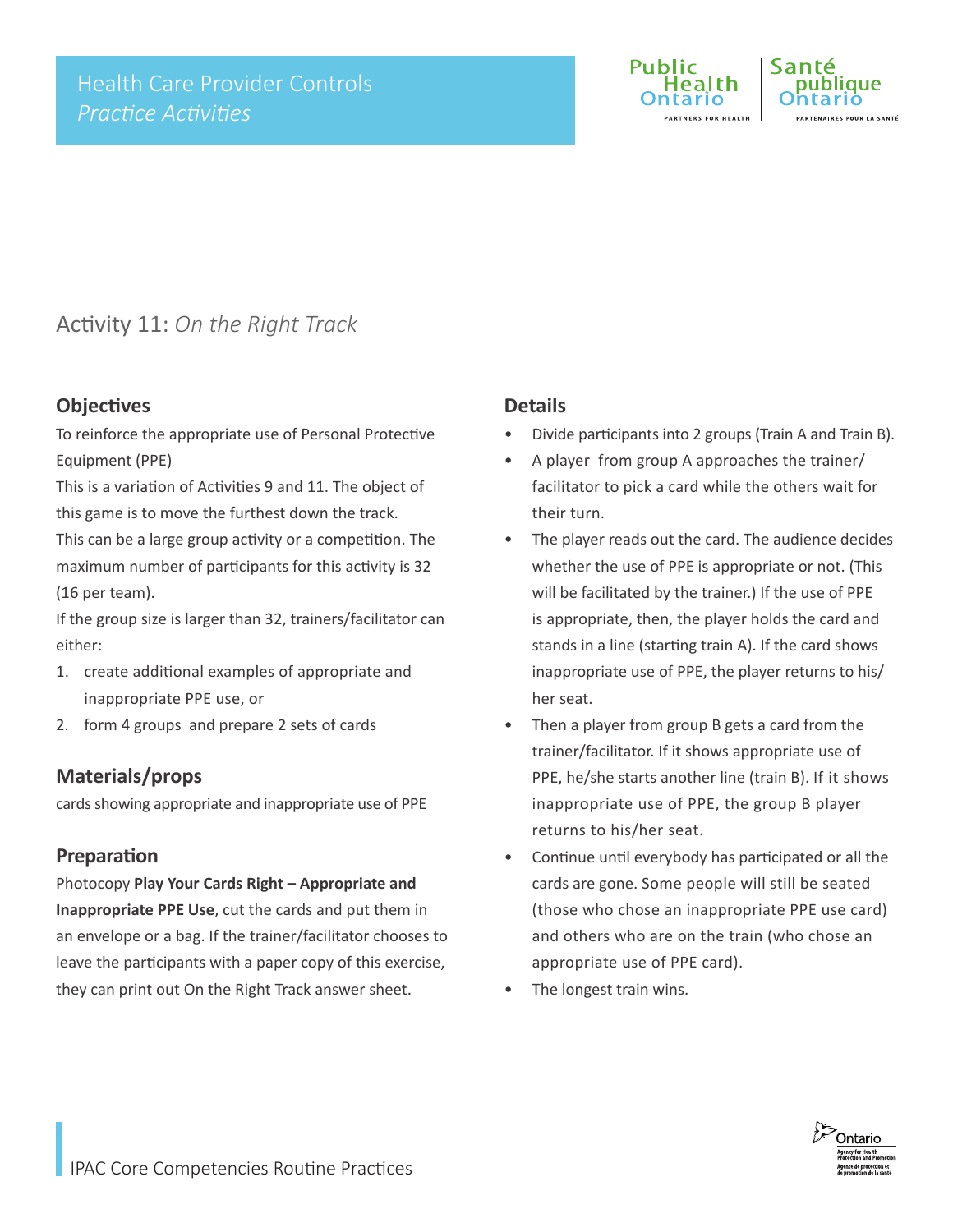

### Activity 11: *On the Right Track*

#### **Objectives**

To reinforce the appropriate use of Personal Protective Equipment (PPE)

This is a variation of Activities 9 and 11. The object of this game is to move the furthest down the track. This can be a large group activity or a competition. The maximum number of participants for this activity is 32 (16 per team).

If the group size is larger than 32, trainers/facilitator can either:

- 1. create additional examples of appropriate and inappropriate PPE use, or
- 2. form 4 groups and prepare 2 sets of cards

#### **Materials/props**

cards showing appropriate and inappropriate use of PPE

#### **Preparation**

Photocopy **Play Your Cards Right – Appropriate and Inappropriate PPE Use**, cut the cards and put them in an envelope or a bag. If the trainer/facilitator chooses to leave the participants with a paper copy of this exercise, they can print out On the Right Track answer sheet.

#### **Details**

- Divide participants into 2 groups (Train A and Train B).
- A player from group A approaches the trainer/ facilitator to pick a card while the others wait for their turn.
- The player reads out the card. The audience decides whether the use of PPE is appropriate or not. (This will be facilitated by the trainer.) If the use of PPE is appropriate, then, the player holds the card and stands in a line (starting train A). If the card shows inappropriate use of PPE, the player returns to his/ her seat.
- Then a player from group B gets a card from the trainer/facilitator. If it shows appropriate use of PPE, he/she starts another line (train B). If it shows inappropriate use of PPE, the group B player returns to his/her seat.
- Continue until everybody has participated or all the cards are gone. Some people will still be seated (those who chose an inappropriate PPE use card) and others who are on the train (who chose an appropriate use of PPE card).
- The longest train wins.

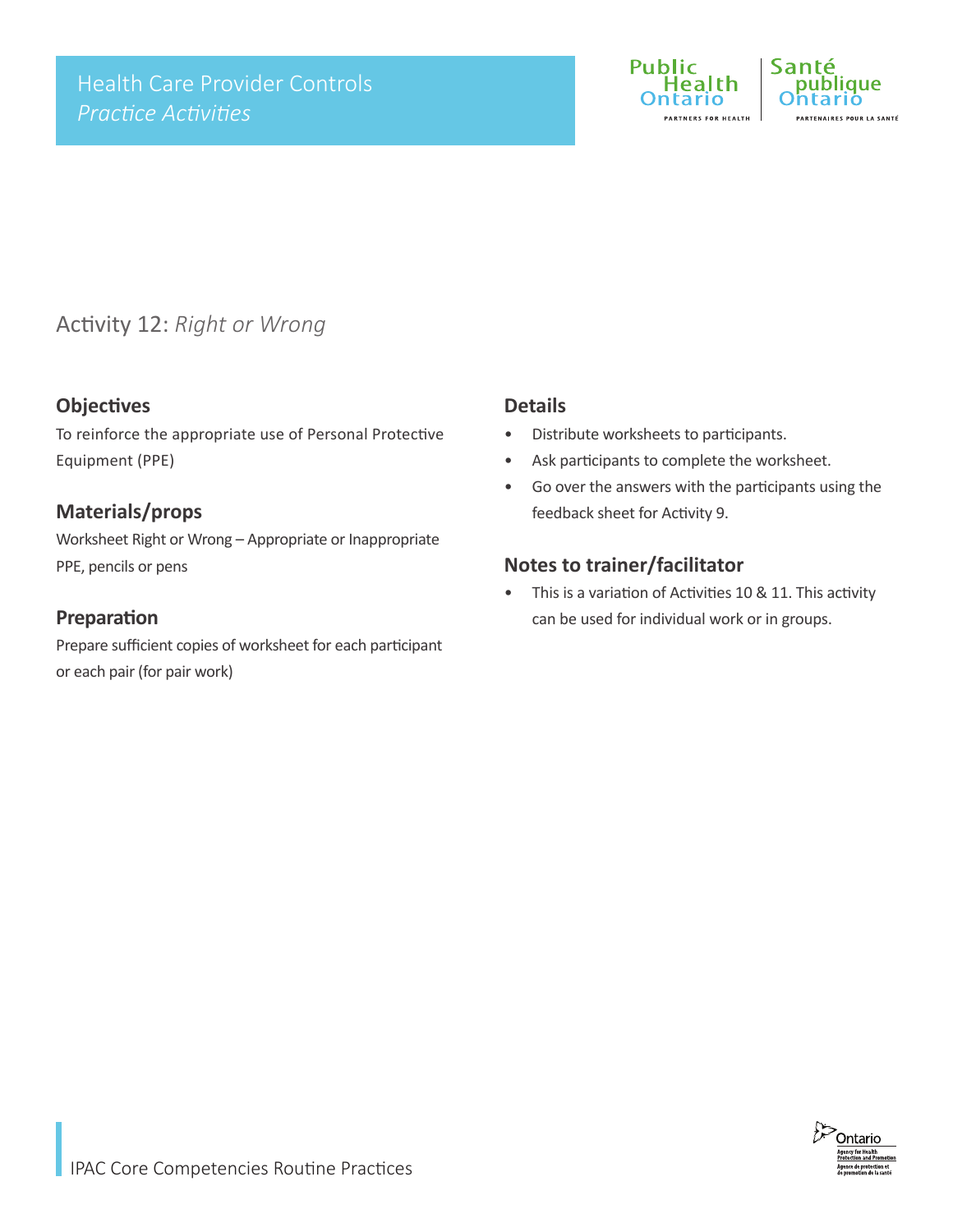

### Activity 12: *Right or Wrong*

#### **Objectives**

To reinforce the appropriate use of Personal Protective Equipment (PPE)

#### **Materials/props**

Worksheet Right or Wrong – Appropriate or Inappropriate PPE, pencils or pens

#### **Preparation**

Prepare sufficient copies of worksheet for each participant or each pair (for pair work)

#### **Details**

- Distribute worksheets to participants.
- Ask participants to complete the worksheet.
- Go over the answers with the participants using the feedback sheet for Activity 9.

#### **Notes to trainer/facilitator**

• This is a variation of Activities 10 & 11. This activity can be used for individual work or in groups.

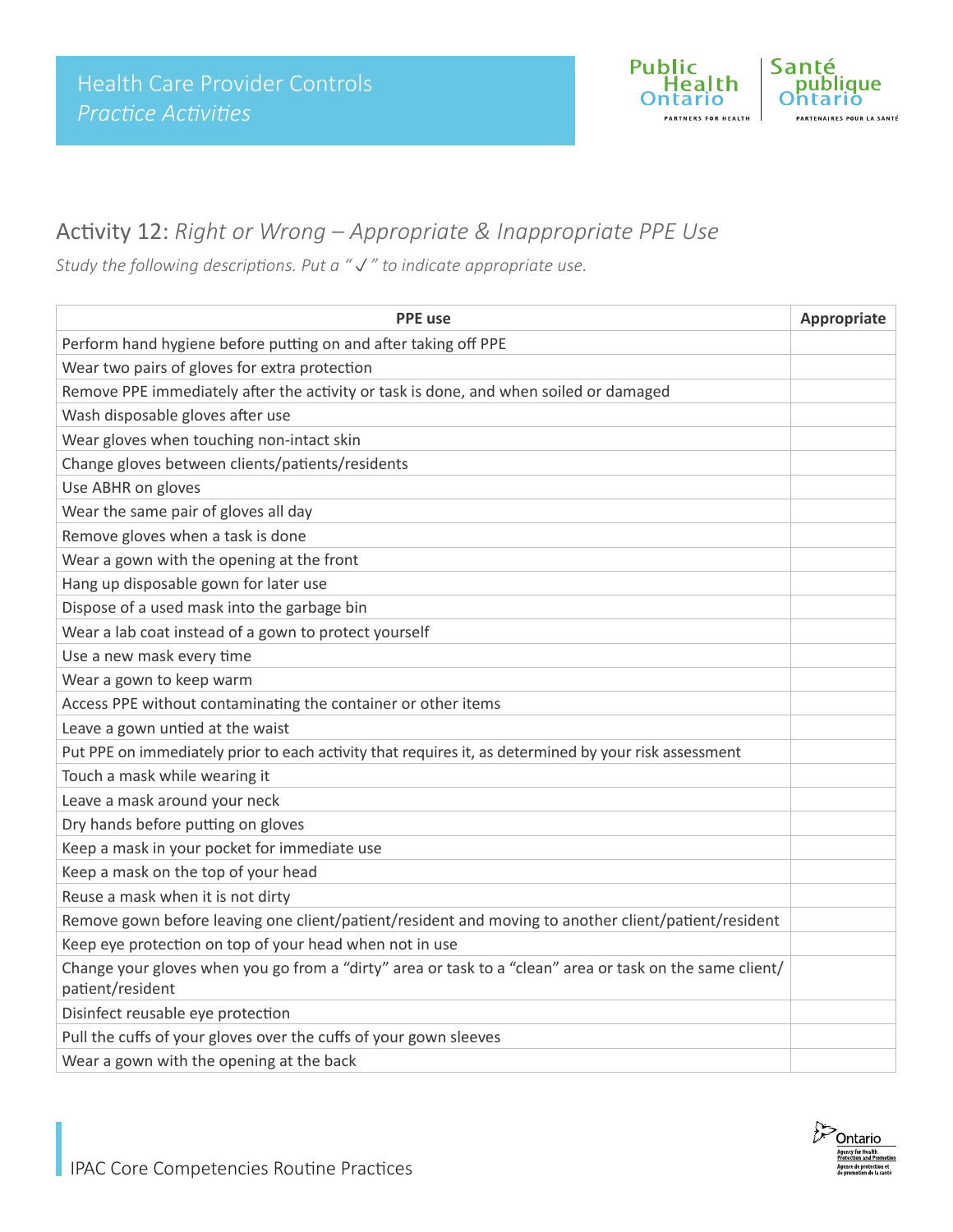

### Activity 12: *Right or Wrong – Appropriate & Inappropriate PPE Use*

*Study the following descriptions. Put a "" to indicate appropriate use.* 

| <b>PPE</b> use                                                                                                               | Appropriate |  |  |
|------------------------------------------------------------------------------------------------------------------------------|-------------|--|--|
| Perform hand hygiene before putting on and after taking off PPE                                                              |             |  |  |
| Wear two pairs of gloves for extra protection                                                                                |             |  |  |
| Remove PPE immediately after the activity or task is done, and when soiled or damaged                                        |             |  |  |
| Wash disposable gloves after use                                                                                             |             |  |  |
| Wear gloves when touching non-intact skin                                                                                    |             |  |  |
| Change gloves between clients/patients/residents                                                                             |             |  |  |
| Use ABHR on gloves                                                                                                           |             |  |  |
| Wear the same pair of gloves all day                                                                                         |             |  |  |
| Remove gloves when a task is done                                                                                            |             |  |  |
| Wear a gown with the opening at the front                                                                                    |             |  |  |
| Hang up disposable gown for later use                                                                                        |             |  |  |
| Dispose of a used mask into the garbage bin                                                                                  |             |  |  |
| Wear a lab coat instead of a gown to protect yourself                                                                        |             |  |  |
| Use a new mask every time                                                                                                    |             |  |  |
| Wear a gown to keep warm                                                                                                     |             |  |  |
| Access PPE without contaminating the container or other items                                                                |             |  |  |
| Leave a gown untied at the waist                                                                                             |             |  |  |
| Put PPE on immediately prior to each activity that requires it, as determined by your risk assessment                        |             |  |  |
| Touch a mask while wearing it                                                                                                |             |  |  |
| Leave a mask around your neck                                                                                                |             |  |  |
| Dry hands before putting on gloves                                                                                           |             |  |  |
| Keep a mask in your pocket for immediate use                                                                                 |             |  |  |
| Keep a mask on the top of your head                                                                                          |             |  |  |
| Reuse a mask when it is not dirty                                                                                            |             |  |  |
| Remove gown before leaving one client/patient/resident and moving to another client/patient/resident                         |             |  |  |
| Keep eye protection on top of your head when not in use                                                                      |             |  |  |
| Change your gloves when you go from a "dirty" area or task to a "clean" area or task on the same client/<br>patient/resident |             |  |  |
| Disinfect reusable eye protection                                                                                            |             |  |  |
| Pull the cuffs of your gloves over the cuffs of your gown sleeves                                                            |             |  |  |
| Wear a gown with the opening at the back                                                                                     |             |  |  |